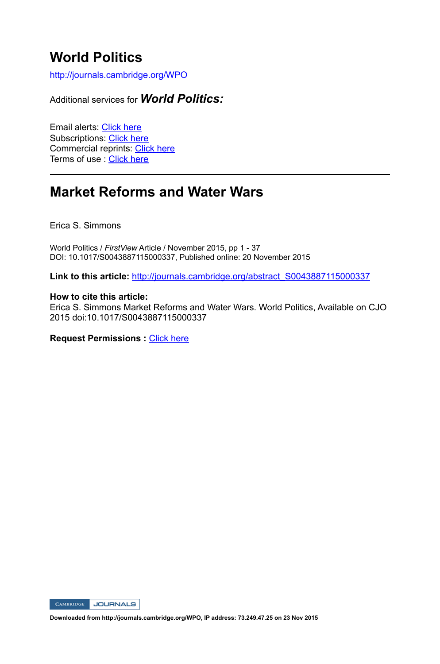## **World Politics**

http://journals.cambridge.org/WPO

Additional services for *World Politics:*

Email alerts: Click here Subscriptions: Click here Commercial reprints: Click here Terms of use : Click here

# **Market Reforms and Water Wars**

Erica S. Simmons

World Politics / *FirstView* Article / November 2015, pp 1 - 37 DOI: 10.1017/S0043887115000337, Published online: 20 November 2015

Link to this article: http://journals.cambridge.org/abstract\_S0043887115000337

#### **How to cite this article:**

Erica S. Simmons Market Reforms and Water Wars. World Politics, Available on CJO 2015 doi:10.1017/S0043887115000337

**Request Permissions :** Click here



**Downloaded from http://journals.cambridge.org/WPO, IP address: 73.249.47.25 on 23 Nov 2015**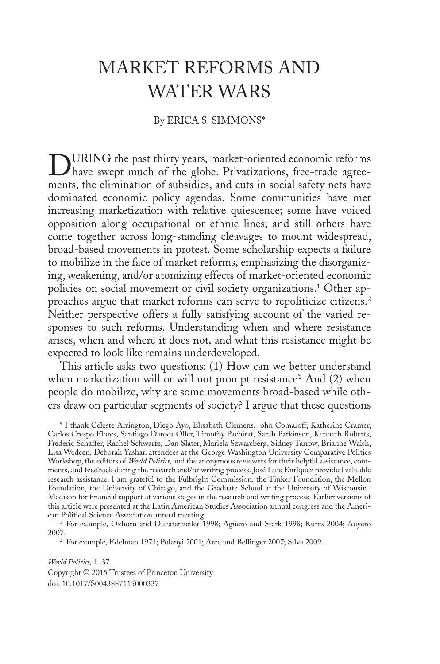# Market Reforms and WATER WARS

## By Erica S. Simmons\*

DURING the past thirty years, market-oriented economic reforms have swept much of the globe. Privatizations, free-trade agreements, the elimination of subsidies, and cuts in social safety nets have dominated economic policy agendas. Some communities have met increasing marketization with relative quiescence; some have voiced opposition along occupational or ethnic lines; and still others have come together across long-standing cleavages to mount widespread, broad-based movements in protest. Some scholarship expects a failure to mobilize in the face of market reforms, emphasizing the disorganizing, weakening, and/or atomizing effects of market-oriented economic policies on social movement or civil society organizations.<sup>1</sup> Other approaches argue that market reforms can serve to repoliticize citizens.<sup>2</sup> Neither perspective offers a fully satisfying account of the varied responses to such reforms. Understanding when and where resistance arises, when and where it does not, and what this resistance might be expected to look like remains underdeveloped.

This article asks two questions: (1) How can we better understand when marketization will or will not prompt resistance? And (2) when people do mobilize, why are some movements broad-based while others draw on particular segments of society? I argue that these questions

\* I thank Celeste Arrington, Diego Ayo, Elisabeth Clemens, John Comaroff, Katherine Cramer, Carlos Crespo Flores, Santiago Daroca Oller, Timothy Pachirat, Sarah Parkinson, Kenneth Roberts, Frederic Schaffer, Rachel Schwartz, Dan Slater, Mariela Szwarcberg, Sidney Tarrow, Brianne Walsh, Lisa Wedeen, Deborah Yashar, attendees at the George Washington University Comparative Politics Workshop, the editors of *World Politics*, and the anonymous reviewers for their helpful assistance, comments, and feedback during the research and/or writing process. José Luis Enríquez provided valuable research assistance. I am grateful to the Fulbright Commission, the Tinker Foundation, the Mellon Foundation, the University of Chicago, and the Graduate School at the University of Wisconsin– Madison for financial support at various stages in the research and writing process. Earlier versions of this article were presented at the Latin American Studies Association annual congress and the American Political Science Association annual meeting.

1 For example, Oxhorn and Ducatenzeiler 1998; Agüero and Stark 1998; Kurtz 2004; Auyero 2007.

2 For example, Edelman 1971; Polanyi 2001; Arce and Bellinger 2007; Silva 2009.

*World Politics,* 1–37 Copyright © 2015 Trustees of Princeton University doi: 10.1017/S0043887115000337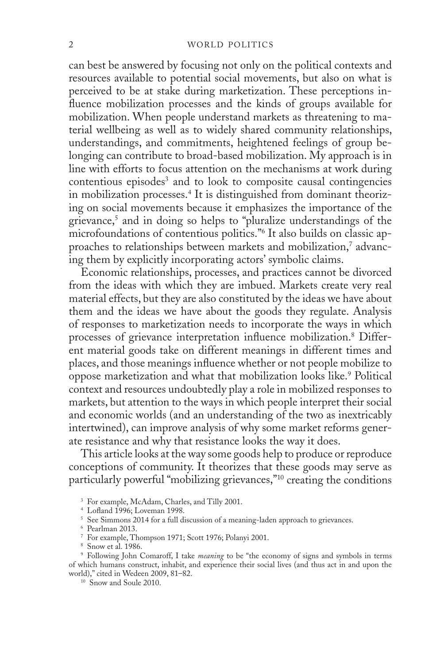can best be answered by focusing not only on the political contexts and resources available to potential social movements, but also on what is perceived to be at stake during marketization. These perceptions influence mobilization processes and the kinds of groups available for mobilization. When people understand markets as threatening to material wellbeing as well as to widely shared community relationships, understandings, and commitments, heightened feelings of group belonging can contribute to broad-based mobilization. My approach is in line with efforts to focus attention on the mechanisms at work during contentious episodes<sup>3</sup> and to look to composite causal contingencies in mobilization processes.4 It is distinguished from dominant theorizing on social movements because it emphasizes the importance of the grievance,5 and in doing so helps to "pluralize understandings of the microfoundations of contentious politics."<sup>6</sup> It also builds on classic approaches to relationships between markets and mobilization,7 advancing them by explicitly incorporating actors' symbolic claims.

Economic relationships, processes, and practices cannot be divorced from the ideas with which they are imbued. Markets create very real material effects, but they are also constituted by the ideas we have about them and the ideas we have about the goods they regulate. Analysis of responses to marketization needs to incorporate the ways in which processes of grievance interpretation influence mobilization.8 Different material goods take on different meanings in different times and places, and those meanings influence whether or not people mobilize to oppose marketization and what that mobilization looks like.<sup>9</sup> Political context and resources undoubtedly play a role in mobilized responses to markets, but attention to the ways in which people interpret their social and economic worlds (and an understanding of the two as inextricably intertwined), can improve analysis of why some market reforms generate resistance and why that resistance looks the way it does.

This article looks at the way some goods help to produce or reproduce conceptions of community. It theorizes that these goods may serve as particularly powerful "mobilizing grievances,"10 creating the conditions

<sup>3</sup> For example, McAdam, Charles, and Tilly 2001.

<sup>4</sup> Lofland 1996; Loveman 1998.

<sup>&</sup>lt;sup>5</sup> See Simmons 2014 for a full discussion of a meaning-laden approach to grievances.

<sup>6</sup> Pearlman 2013.

<sup>7</sup> For example, Thompson 1971; Scott 1976; Polanyi 2001.

<sup>8</sup> Snow et al. 1986.

<sup>9</sup> Following John Comaroff, I take *meaning* to be "the economy of signs and symbols in terms of which humans construct, inhabit, and experience their social lives (and thus act in and upon the world)," cited in Wedeen 2009, 81–82. 10 Snow and Soule 2010.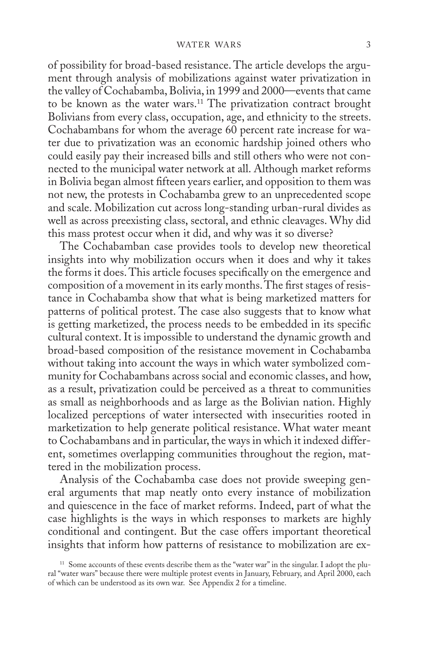of possibility for broad-based resistance. The article develops the argument through analysis of mobilizations against water privatization in the valley of Cochabamba, Bolivia, in 1999 and 2000—events that came to be known as the water wars.<sup>11</sup> The privatization contract brought Bolivians from every class, occupation, age, and ethnicity to the streets. Cochabambans for whom the average 60 percent rate increase for water due to privatization was an economic hardship joined others who could easily pay their increased bills and still others who were not connected to the municipal water network at all. Although market reforms in Bolivia began almost fifteen years earlier, and opposition to them was not new, the protests in Cochabamba grew to an unprecedented scope and scale. Mobilization cut across long-standing urban-rural divides as well as across preexisting class, sectoral, and ethnic cleavages. Why did this mass protest occur when it did, and why was it so diverse?

The Cochabamban case provides tools to develop new theoretical insights into why mobilization occurs when it does and why it takes the forms it does. This article focuses specifically on the emergence and composition of a movement in its early months. The first stages of resistance in Cochabamba show that what is being marketized matters for patterns of political protest. The case also suggests that to know what is getting marketized, the process needs to be embedded in its specific cultural context. It is impossible to understand the dynamic growth and broad-based composition of the resistance movement in Cochabamba without taking into account the ways in which water symbolized community for Cochabambans across social and economic classes, and how, as a result, privatization could be perceived as a threat to communities as small as neighborhoods and as large as the Bolivian nation. Highly localized perceptions of water intersected with insecurities rooted in marketization to help generate political resistance. What water meant to Cochabambans and in particular, the ways in which it indexed different, sometimes overlapping communities throughout the region, mattered in the mobilization process.

Analysis of the Cochabamba case does not provide sweeping general arguments that map neatly onto every instance of mobilization and quiescence in the face of market reforms. Indeed, part of what the case highlights is the ways in which responses to markets are highly conditional and contingent. But the case offers important theoretical insights that inform how patterns of resistance to mobilization are ex-

<sup>&</sup>lt;sup>11</sup> Some accounts of these events describe them as the "water war" in the singular. I adopt the plural "water wars" because there were multiple protest events in January, February, and April 2000, each of which can be understood as its own war. See Appendix 2 for a timeline.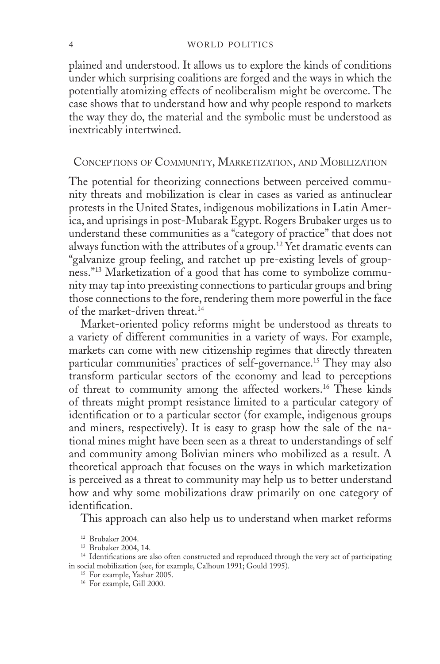#### 4 WORLD POLITICS

plained and understood. It allows us to explore the kinds of conditions under which surprising coalitions are forged and the ways in which the potentially atomizing effects of neoliberalism might be overcome. The case shows that to understand how and why people respond to markets the way they do, the material and the symbolic must be understood as inextricably intertwined.

## Conceptions of Community, Marketization, and Mobilization

The potential for theorizing connections between perceived community threats and mobilization is clear in cases as varied as antinuclear protests in the United States, indigenous mobilizations in Latin America, and uprisings in post-Mubarak Egypt. Rogers Brubaker urges us to understand these communities as a "category of practice" that does not always function with the attributes of a group.<sup>12</sup> Yet dramatic events can "galvanize group feeling, and ratchet up pre-existing levels of groupness."13 Marketization of a good that has come to symbolize community may tap into preexisting connections to particular groups and bring those connections to the fore, rendering them more powerful in the face of the market-driven threat.14

Market-oriented policy reforms might be understood as threats to a variety of different communities in a variety of ways. For example, markets can come with new citizenship regimes that directly threaten particular communities' practices of self-governance.15 They may also transform particular sectors of the economy and lead to perceptions of threat to community among the affected workers.16 These kinds of threats might prompt resistance limited to a particular category of identification or to a particular sector (for example, indigenous groups and miners, respectively). It is easy to grasp how the sale of the national mines might have been seen as a threat to understandings of self and community among Bolivian miners who mobilized as a result. A theoretical approach that focuses on the ways in which marketization is perceived as a threat to community may help us to better understand how and why some mobilizations draw primarily on one category of identification.

This approach can also help us to understand when market reforms

<sup>12</sup> Brubaker 2004.

<sup>13</sup> Brubaker 2004, 14.

<sup>&</sup>lt;sup>14</sup> Identifications are also often constructed and reproduced through the very act of participating in social mobilization (see, for example, Calhoun 1991; Gould 1995). 15 For example, Yashar 2005. 16 For example, Gill 2000.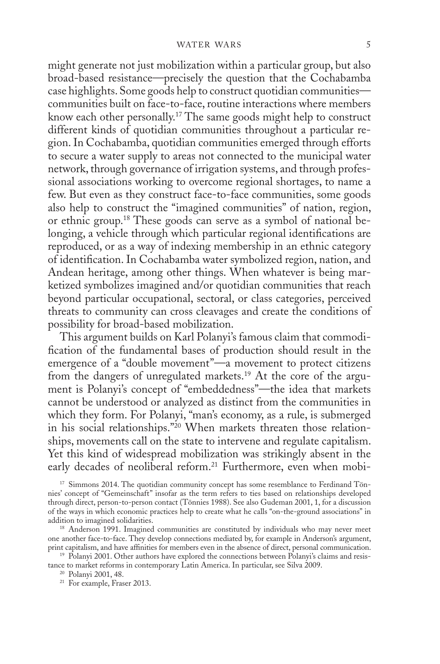might generate not just mobilization within a particular group, but also broad-based resistance—precisely the question that the Cochabamba case highlights. Some goods help to construct quotidian communities communities built on face-to-face, routine interactions where members know each other personally.17 The same goods might help to construct different kinds of quotidian communities throughout a particular region. In Cochabamba, quotidian communities emerged through efforts to secure a water supply to areas not connected to the municipal water network, through governance of irrigation systems, and through professional associations working to overcome regional shortages, to name a few. But even as they construct face-to-face communities, some goods also help to construct the "imagined communities" of nation, region, or ethnic group.18 These goods can serve as a symbol of national belonging, a vehicle through which particular regional identifications are reproduced, or as a way of indexing membership in an ethnic category of identification. In Cochabamba water symbolized region, nation, and Andean heritage, among other things. When whatever is being marketized symbolizes imagined and/or quotidian communities that reach beyond particular occupational, sectoral, or class categories, perceived threats to community can cross cleavages and create the conditions of possibility for broad-based mobilization.

This argument builds on Karl Polanyi's famous claim that commodification of the fundamental bases of production should result in the emergence of a "double movement"—a movement to protect citizens from the dangers of unregulated markets.19 At the core of the argument is Polanyi's concept of "embeddedness"—the idea that markets cannot be understood or analyzed as distinct from the communities in which they form. For Polanyi, "man's economy, as a rule, is submerged in his social relationships."20 When markets threaten those relationships, movements call on the state to intervene and regulate capitalism. Yet this kind of widespread mobilization was strikingly absent in the early decades of neoliberal reform.<sup>21</sup> Furthermore, even when mobi-

 $17$  Simmons 2014. The quotidian community concept has some resemblance to Ferdinand Tönnies' concept of "Gemeinschaft" insofar as the term refers to ties based on relationships developed through direct, person-to-person contact (Tönnies 1988). See also Gudeman 2001, 1, for a discussion of the ways in which economic practices help to create what he calls "on-the-ground associations" in addition to imagined solidarities. 18 Anderson 1991. Imagined communities are constituted by individuals who may never meet

one another face-to-face. They develop connections mediated by, for example in Anderson's argument, print capitalism, and have affinities for members even in the absence of direct, personal communication.

<sup>&</sup>lt;sup>19</sup> Polanyi 2001. Other authors have explored the connections between Polanyi's claims and resistance to market reforms in contemporary Latin America. In particular, see Silva 2009. 20 Polanyi 2001, 48.

<sup>21</sup> For example, Fraser 2013.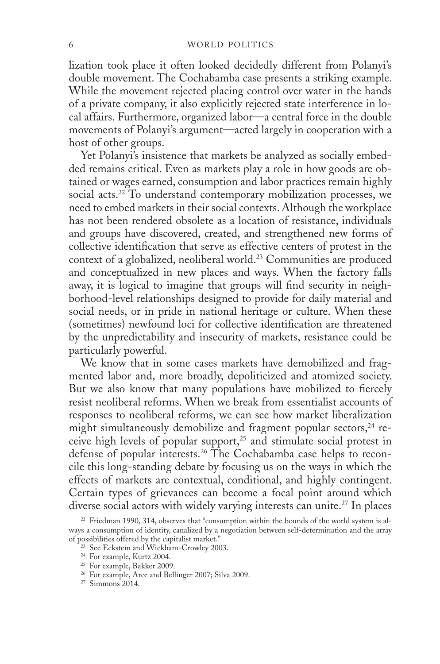lization took place it often looked decidedly different from Polanyi's double movement. The Cochabamba case presents a striking example. While the movement rejected placing control over water in the hands of a private company, it also explicitly rejected state interference in local affairs. Furthermore, organized labor—a central force in the double movements of Polanyi's argument—acted largely in cooperation with a host of other groups.

Yet Polanyi's insistence that markets be analyzed as socially embedded remains critical. Even as markets play a role in how goods are obtained or wages earned, consumption and labor practices remain highly social acts.<sup>22</sup> To understand contemporary mobilization processes, we need to embed markets in their social contexts. Although the workplace has not been rendered obsolete as a location of resistance, individuals and groups have discovered, created, and strengthened new forms of collective identification that serve as effective centers of protest in the context of a globalized, neoliberal world.<sup>23</sup> Communities are produced and conceptualized in new places and ways. When the factory falls away, it is logical to imagine that groups will find security in neighborhood-level relationships designed to provide for daily material and social needs, or in pride in national heritage or culture. When these (sometimes) newfound loci for collective identification are threatened by the unpredictability and insecurity of markets, resistance could be particularly powerful.

We know that in some cases markets have demobilized and fragmented labor and, more broadly, depoliticized and atomized society. But we also know that many populations have mobilized to fiercely resist neoliberal reforms. When we break from essentialist accounts of responses to neoliberal reforms, we can see how market liberalization might simultaneously demobilize and fragment popular sectors,<sup>24</sup> receive high levels of popular support,<sup>25</sup> and stimulate social protest in defense of popular interests.<sup>26</sup> The Cochabamba case helps to reconcile this long-standing debate by focusing us on the ways in which the effects of markets are contextual, conditional, and highly contingent. Certain types of grievances can become a focal point around which diverse social actors with widely varying interests can unite.<sup>27</sup> In places

<sup>&</sup>lt;sup>22</sup> Friedman 1990, 314, observes that "consumption within the bounds of the world system is always a consumption of identity, canalized by a negotiation between self-determination and the array

<sup>&</sup>lt;sup>23</sup> See Eckstein and Wickham-Crowley 2003.<br><sup>24</sup> For example, Kurtz 2004.<br><sup>25</sup> For example, Bakker 2009.

<sup>&</sup>lt;sup>26</sup> For example, Arce and Bellinger 2007; Silva 2009.

<sup>27</sup> Simmons 2014.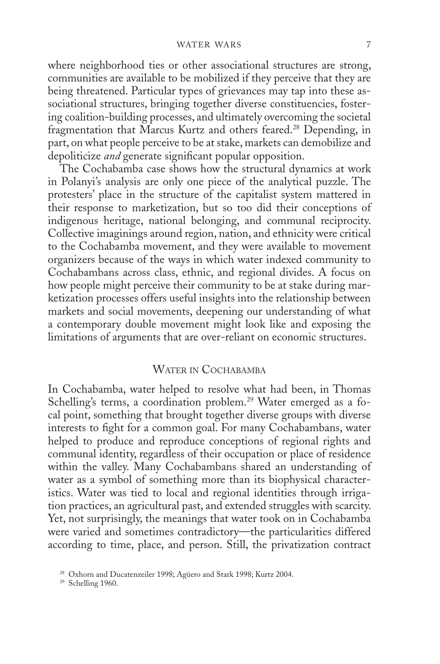where neighborhood ties or other associational structures are strong, communities are available to be mobilized if they perceive that they are being threatened. Particular types of grievances may tap into these associational structures, bringing together diverse constituencies, fostering coalition-building processes, and ultimately overcoming the societal fragmentation that Marcus Kurtz and others feared.<sup>28</sup> Depending, in part, on what people perceive to be at stake, markets can demobilize and depoliticize *and* generate significant popular opposition.

The Cochabamba case shows how the structural dynamics at work in Polanyi's analysis are only one piece of the analytical puzzle. The protesters' place in the structure of the capitalist system mattered in their response to marketization, but so too did their conceptions of indigenous heritage, national belonging, and communal reciprocity. Collective imaginings around region, nation, and ethnicity were critical to the Cochabamba movement, and they were available to movement organizers because of the ways in which water indexed community to Cochabambans across class, ethnic, and regional divides. A focus on how people might perceive their community to be at stake during marketization processes offers useful insights into the relationship between markets and social movements, deepening our understanding of what a contemporary double movement might look like and exposing the limitations of arguments that are over-reliant on economic structures.

#### WATER IN COCHABAMBA

In Cochabamba, water helped to resolve what had been, in Thomas Schelling's terms, a coordination problem.<sup>29</sup> Water emerged as a focal point, something that brought together diverse groups with diverse interests to fight for a common goal. For many Cochabambans, water helped to produce and reproduce conceptions of regional rights and communal identity, regardless of their occupation or place of residence within the valley. Many Cochabambans shared an understanding of water as a symbol of something more than its biophysical characteristics. Water was tied to local and regional identities through irrigation practices, an agricultural past, and extended struggles with scarcity. Yet, not surprisingly, the meanings that water took on in Cochabamba were varied and sometimes contradictory—the particularities differed according to time, place, and person. Still, the privatization contract

<sup>28</sup> Oxhorn and Ducatenzeiler 1998; Agüero and Stark 1998; Kurtz 2004.

<sup>29</sup> Schelling 1960.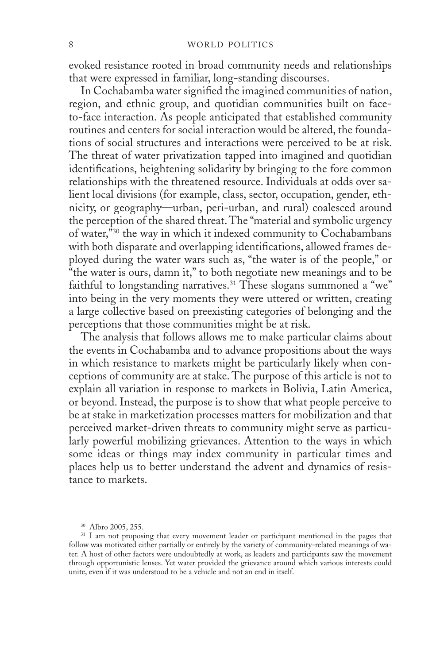evoked resistance rooted in broad community needs and relationships that were expressed in familiar, long-standing discourses.

In Cochabamba water signified the imagined communities of nation, region, and ethnic group, and quotidian communities built on faceto-face interaction. As people anticipated that established community routines and centers for social interaction would be altered, the foundations of social structures and interactions were perceived to be at risk. The threat of water privatization tapped into imagined and quotidian identifications, heightening solidarity by bringing to the fore common relationships with the threatened resource. Individuals at odds over salient local divisions (for example, class, sector, occupation, gender, ethnicity, or geography—urban, peri-urban, and rural) coalesced around the perception of the shared threat. The "material and symbolic urgency of water,"30 the way in which it indexed community to Cochabambans with both disparate and overlapping identifications, allowed frames deployed during the water wars such as, "the water is of the people," or <sup>"</sup>the water is ours, damn it," to both negotiate new meanings and to be faithful to longstanding narratives.<sup>31</sup> These slogans summoned a "we" into being in the very moments they were uttered or written, creating a large collective based on preexisting categories of belonging and the perceptions that those communities might be at risk.

The analysis that follows allows me to make particular claims about the events in Cochabamba and to advance propositions about the ways in which resistance to markets might be particularly likely when conceptions of community are at stake. The purpose of this article is not to explain all variation in response to markets in Bolivia, Latin America, or beyond. Instead, the purpose is to show that what people perceive to be at stake in marketization processes matters for mobilization and that perceived market-driven threats to community might serve as particularly powerful mobilizing grievances. Attention to the ways in which some ideas or things may index community in particular times and places help us to better understand the advent and dynamics of resistance to markets.

<sup>30</sup> Albro 2005, 255.

<sup>&</sup>lt;sup>31</sup> I am not proposing that every movement leader or participant mentioned in the pages that follow was motivated either partially or entirely by the variety of community-related meanings of water. A host of other factors were undoubtedly at work, as leaders and participants saw the movement through opportunistic lenses. Yet water provided the grievance around which various interests could unite, even if it was understood to be a vehicle and not an end in itself.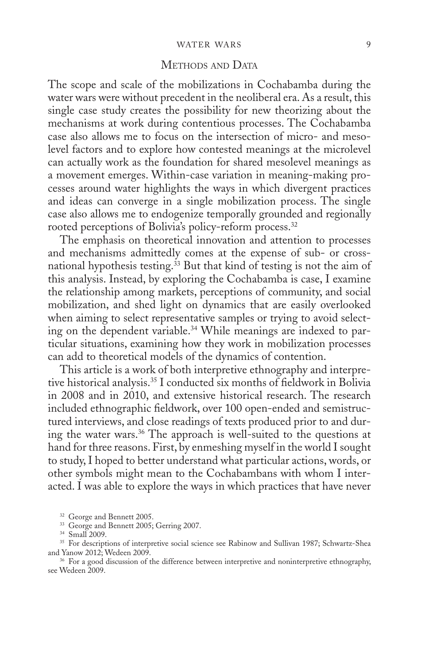#### WATER WARS 9

#### METHODS AND DATA

The scope and scale of the mobilizations in Cochabamba during the water wars were without precedent in the neoliberal era. As a result, this single case study creates the possibility for new theorizing about the mechanisms at work during contentious processes. The Cochabamba case also allows me to focus on the intersection of micro- and mesolevel factors and to explore how contested meanings at the microlevel can actually work as the foundation for shared mesolevel meanings as a movement emerges. Within-case variation in meaning-making processes around water highlights the ways in which divergent practices and ideas can converge in a single mobilization process. The single case also allows me to endogenize temporally grounded and regionally rooted perceptions of Bolivia's policy-reform process.<sup>32</sup>

The emphasis on theoretical innovation and attention to processes and mechanisms admittedly comes at the expense of sub- or crossnational hypothesis testing.<sup>33</sup> But that kind of testing is not the aim of this analysis. Instead, by exploring the Cochabamba is case, I examine the relationship among markets, perceptions of community, and social mobilization, and shed light on dynamics that are easily overlooked when aiming to select representative samples or trying to avoid selecting on the dependent variable.<sup>34</sup> While meanings are indexed to particular situations, examining how they work in mobilization processes can add to theoretical models of the dynamics of contention.

This article is a work of both interpretive ethnography and interpretive historical analysis.35 I conducted six months of fieldwork in Bolivia in 2008 and in 2010, and extensive historical research. The research included ethnographic fieldwork, over 100 open-ended and semistructured interviews, and close readings of texts produced prior to and during the water wars.36 The approach is well-suited to the questions at hand for three reasons. First, by enmeshing myself in the world I sought to study, I hoped to better understand what particular actions, words, or other symbols might mean to the Cochabambans with whom I interacted. I was able to explore the ways in which practices that have never

<sup>33</sup> George and Bennett 2005; Gerring 2007.

<sup>32</sup> George and Bennett 2005.

<sup>34</sup> Small 2009.

<sup>&</sup>lt;sup>35</sup> For descriptions of interpretive social science see Rabinow and Sullivan 1987; Schwartz-Shea and Yanow 2012; Wedeen 2009.

<sup>&</sup>lt;sup>36</sup> For a good discussion of the difference between interpretive and noninterpretive ethnography, see Wedeen 2009.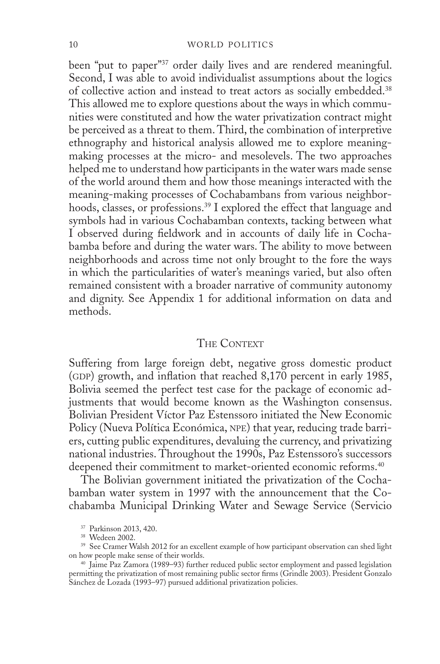been "put to paper"<sup>37</sup> order daily lives and are rendered meaningful. Second, I was able to avoid individualist assumptions about the logics of collective action and instead to treat actors as socially embedded.<sup>38</sup> This allowed me to explore questions about the ways in which communities were constituted and how the water privatization contract might be perceived as a threat to them. Third, the combination of interpretive ethnography and historical analysis allowed me to explore meaningmaking processes at the micro- and mesolevels. The two approaches helped me to understand how participants in the water wars made sense of the world around them and how those meanings interacted with the meaning-making processes of Cochabambans from various neighborhoods, classes, or professions.39 I explored the effect that language and symbols had in various Cochabamban contexts, tacking between what I observed during fieldwork and in accounts of daily life in Cochabamba before and during the water wars. The ability to move between neighborhoods and across time not only brought to the fore the ways in which the particularities of water's meanings varied, but also often remained consistent with a broader narrative of community autonomy and dignity. See Appendix 1 for additional information on data and methods.

## THE CONTEXT

Suffering from large foreign debt, negative gross domestic product (GDP) growth, and inflation that reached  $8,170$  percent in early 1985, Bolivia seemed the perfect test case for the package of economic adjustments that would become known as the Washington consensus. Bolivian President Víctor Paz Estenssoro initiated the New Economic Policy (Nueva Política Económica, npe) that year, reducing trade barriers, cutting public expenditures, devaluing the currency, and privatizing national industries. Throughout the 1990s, Paz Estenssoro's successors deepened their commitment to market-oriented economic reforms.<sup>40</sup>

The Bolivian government initiated the privatization of the Cochabamban water system in 1997 with the announcement that the Cochabamba Municipal Drinking Water and Sewage Service (Servicio

<sup>37</sup> Parkinson 2013, 420.

<sup>38</sup> Wedeen 2002.

<sup>&</sup>lt;sup>39</sup> See Cramer Walsh 2012 for an excellent example of how participant observation can shed light on how people make sense of their worlds.

<sup>40</sup> Jaime Paz Zamora (1989–93) further reduced public sector employment and passed legislation permitting the privatization of most remaining public sector firms (Grindle 2003). President Gonzalo Sánchez de Lozada (1993–97) pursued additional privatization policies.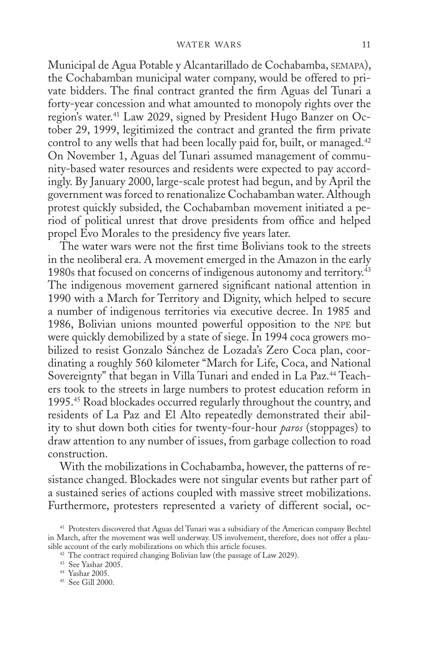Municipal de Agua Potable y Alcantarillado de Cochabamba, semapa), the Cochabamban municipal water company, would be offered to private bidders. The final contract granted the firm Aguas del Tunari a forty-year concession and what amounted to monopoly rights over the region's water.41 Law 2029, signed by President Hugo Banzer on October 29, 1999, legitimized the contract and granted the firm private control to any wells that had been locally paid for, built, or managed.<sup>42</sup> On November 1, Aguas del Tunari assumed management of community-based water resources and residents were expected to pay accordingly. By January 2000, large-scale protest had begun, and by April the government was forced to renationalize Cochabamban water. Although protest quickly subsided, the Cochabamban movement initiated a period of political unrest that drove presidents from office and helped propel Evo Morales to the presidency five years later.

The water wars were not the first time Bolivians took to the streets in the neoliberal era. A movement emerged in the Amazon in the early 1980s that focused on concerns of indigenous autonomy and territory.<sup>43</sup> The indigenous movement garnered significant national attention in 1990 with a March for Territory and Dignity, which helped to secure a number of indigenous territories via executive decree. In 1985 and 1986, Bolivian unions mounted powerful opposition to the npe but were quickly demobilized by a state of siege. In 1994 coca growers mobilized to resist Gonzalo Sánchez de Lozada's Zero Coca plan, coordinating a roughly 560 kilometer "March for Life, Coca, and National Sovereignty" that began in Villa Tunari and ended in La Paz.<sup>44</sup> Teachers took to the streets in large numbers to protest education reform in 1995.45 Road blockades occurred regularly throughout the country, and residents of La Paz and El Alto repeatedly demonstrated their ability to shut down both cities for twenty-four-hour *paros* (stoppages) to draw attention to any number of issues, from garbage collection to road construction.

With the mobilizations in Cochabamba, however, the patterns of resistance changed. Blockades were not singular events but rather part of a sustained series of actions coupled with massive street mobilizations. Furthermore, protesters represented a variety of different social, oc-

45 See Gill 2000.

<sup>41</sup> Protesters discovered that Aguas del Tunari was a subsidiary of the American company Bechtel in March, after the movement was well underway. US involvement, therefore, does not offer a plau-<br>sible account of the early mobilizations on which this article focuses.

 $^{42}$  The contract required changing Bolivian law (the passage of Law 2029).  $^{43}$  See Yashar 2005.

<sup>44</sup> Yashar 2005.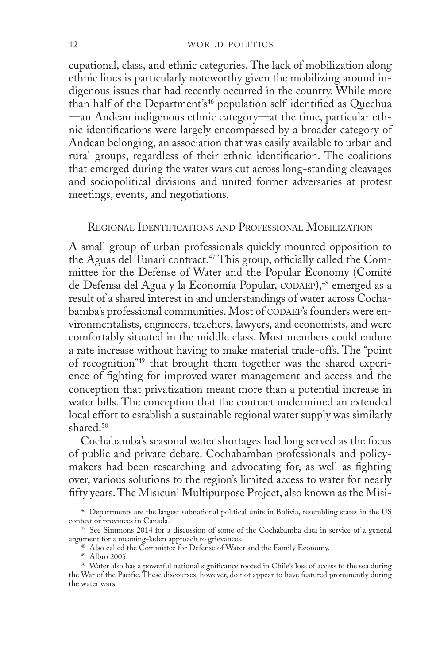#### 12 world politics

cupational, class, and ethnic categories. The lack of mobilization along ethnic lines is particularly noteworthy given the mobilizing around indigenous issues that had recently occurred in the country. While more than half of the Department's<sup>46</sup> population self-identified as Quechua —an Andean indigenous ethnic category—at the time, particular ethnic identifications were largely encompassed by a broader category of Andean belonging, an association that was easily available to urban and rural groups, regardless of their ethnic identification. The coalitions that emerged during the water wars cut across long-standing cleavages and sociopolitical divisions and united former adversaries at protest meetings, events, and negotiations.

## Regional Identifications and Professional Mobilization

A small group of urban professionals quickly mounted opposition to the Aguas del Tunari contract.47 This group, officially called the Committee for the Defense of Water and the Popular Economy (Comité de Defensa del Agua y la Economía Popular, CODAEP),<sup>48</sup> emerged as a result of a shared interest in and understandings of water across Cochabamba's professional communities. Most of CODAEP's founders were environmentalists, engineers, teachers, lawyers, and economists, and were comfortably situated in the middle class. Most members could endure a rate increase without having to make material trade-offs. The "point of recognition"49 that brought them together was the shared experience of fighting for improved water management and access and the conception that privatization meant more than a potential increase in water bills. The conception that the contract undermined an extended local effort to establish a sustainable regional water supply was similarly shared.<sup>50</sup>

Cochabamba's seasonal water shortages had long served as the focus of public and private debate. Cochabamban professionals and policymakers had been researching and advocating for, as well as fighting over, various solutions to the region's limited access to water for nearly fifty years. The Misicuni Multipurpose Project, also known as the Misi-

<sup>46</sup> Departments are the largest subnational political units in Bolivia, resembling states in the US context or provinces in Canada.

<sup>47</sup> See Simmons 2014 for a discussion of some of the Cochabamba data in service of a general argument for a meaning-laden approach to grievances. 48 Also called the Committee for Defense of Water and the Family Economy.

<sup>49</sup> Albro 2005.

<sup>50</sup> Water also has a powerful national significance rooted in Chile's loss of access to the sea during the War of the Pacific. These discourses, however, do not appear to have featured prominently during the water wars.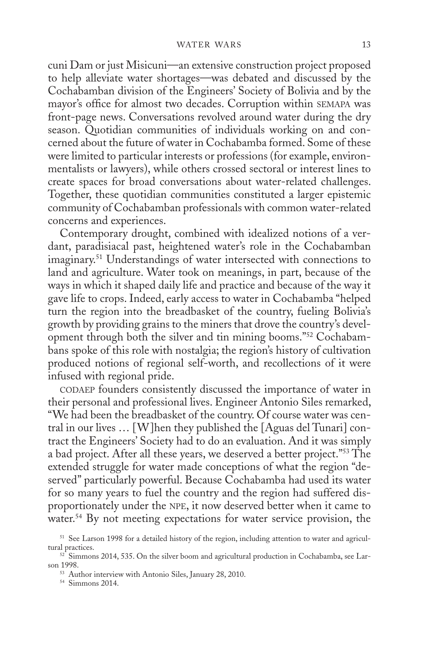cuni Dam or just Misicuni—an extensive construction project proposed to help alleviate water shortages—was debated and discussed by the Cochabamban division of the Engineers' Society of Bolivia and by the mayor's office for almost two decades. Corruption within semapa was front-page news. Conversations revolved around water during the dry season. Quotidian communities of individuals working on and concerned about the future of water in Cochabamba formed. Some of these were limited to particular interests or professions (for example, environmentalists or lawyers), while others crossed sectoral or interest lines to create spaces for broad conversations about water-related challenges. Together, these quotidian communities constituted a larger epistemic community of Cochabamban professionals with common water-related concerns and experiences.

Contemporary drought, combined with idealized notions of a verdant, paradisiacal past, heightened water's role in the Cochabamban imaginary.51 Understandings of water intersected with connections to land and agriculture. Water took on meanings, in part, because of the ways in which it shaped daily life and practice and because of the way it gave life to crops. Indeed, early access to water in Cochabamba "helped turn the region into the breadbasket of the country, fueling Bolivia's growth by providing grains to the miners that drove the country's development through both the silver and tin mining booms."52 Cochabambans spoke of this role with nostalgia; the region's history of cultivation produced notions of regional self-worth, and recollections of it were infused with regional pride.

codaep founders consistently discussed the importance of water in their personal and professional lives. Engineer Antonio Siles remarked, "We had been the breadbasket of the country. Of course water was central in our lives … [W]hen they published the [Aguas del Tunari] contract the Engineers' Society had to do an evaluation. And it was simply a bad project. After all these years, we deserved a better project."<sup>53</sup> The extended struggle for water made conceptions of what the region "deserved" particularly powerful. Because Cochabamba had used its water for so many years to fuel the country and the region had suffered disproportionately under the NPE, it now deserved better when it came to water.<sup>54</sup> By not meeting expectations for water service provision, the

<sup>51</sup> See Larson 1998 for a detailed history of the region, including attention to water and agricultural practices.

 $52^{52}$  Simmons 2014, 535. On the silver boom and agricultural production in Cochabamba, see Larson 1998.

<sup>&</sup>lt;sup>53</sup> Author interview with Antonio Siles, January 28, 2010.<br><sup>54</sup> Simmons 2014.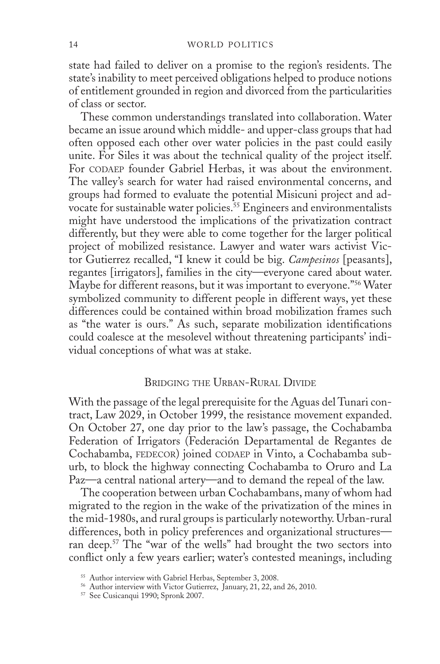state had failed to deliver on a promise to the region's residents. The state's inability to meet perceived obligations helped to produce notions of entitlement grounded in region and divorced from the particularities of class or sector.

These common understandings translated into collaboration. Water became an issue around which middle- and upper-class groups that had often opposed each other over water policies in the past could easily unite. For Siles it was about the technical quality of the project itself. For CODAEP founder Gabriel Herbas, it was about the environment. The valley's search for water had raised environmental concerns, and groups had formed to evaluate the potential Misicuni project and advocate for sustainable water policies.<sup>55</sup> Engineers and environmentalists might have understood the implications of the privatization contract differently, but they were able to come together for the larger political project of mobilized resistance. Lawyer and water wars activist Victor Gutierrez recalled, "I knew it could be big. *Campesinos* [peasants], regantes [irrigators], families in the city—everyone cared about water. Maybe for different reasons, but it was important to everyone."56 Water symbolized community to different people in different ways, yet these differences could be contained within broad mobilization frames such as "the water is ours." As such, separate mobilization identifications could coalesce at the mesolevel without threatening participants' individual conceptions of what was at stake.

#### BRIDGING THE URBAN-RURAL DIVIDE

With the passage of the legal prerequisite for the Aguas del Tunari contract, Law 2029, in October 1999, the resistance movement expanded. On October 27, one day prior to the law's passage, the Cochabamba Federation of Irrigators (Federación Departamental de Regantes de Cochabamba, FEDECOR) joined CODAEP in Vinto, a Cochabamba suburb, to block the highway connecting Cochabamba to Oruro and La Paz—a central national artery—and to demand the repeal of the law.

The cooperation between urban Cochabambans, many of whom had migrated to the region in the wake of the privatization of the mines in the mid-1980s, and rural groups is particularly noteworthy. Urban-rural differences, both in policy preferences and organizational structures ran deep.57 The "war of the wells" had brought the two sectors into conflict only a few years earlier; water's contested meanings, including

<sup>&</sup>lt;sup>55</sup> Author interview with Gabriel Herbas, September 3, 2008.<br><sup>56</sup> Author interview with Victor Gutierrez, January, 21, 22, and 26, 2010.<br><sup>57</sup> See Cusicanqui 1990; Spronk 2007.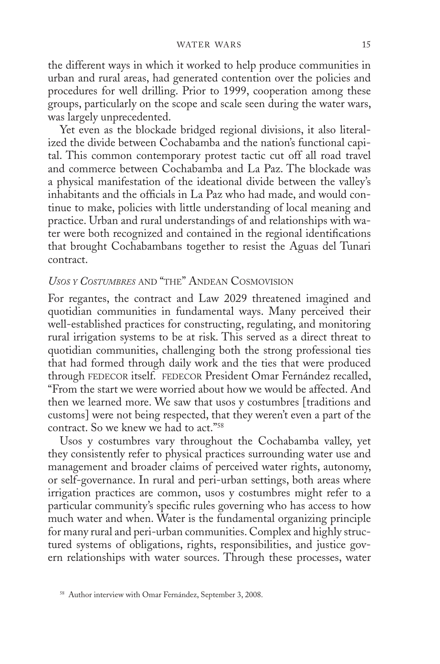the different ways in which it worked to help produce communities in urban and rural areas, had generated contention over the policies and procedures for well drilling. Prior to 1999, cooperation among these groups, particularly on the scope and scale seen during the water wars, was largely unprecedented.

Yet even as the blockade bridged regional divisions, it also literalized the divide between Cochabamba and the nation's functional capital. This common contemporary protest tactic cut off all road travel and commerce between Cochabamba and La Paz. The blockade was a physical manifestation of the ideational divide between the valley's inhabitants and the officials in La Paz who had made, and would continue to make, policies with little understanding of local meaning and practice. Urban and rural understandings of and relationships with water were both recognized and contained in the regional identifications that brought Cochabambans together to resist the Aguas del Tunari contract.

## *Usos y Costumbres* and "the" Andean Cosmovision

For regantes, the contract and Law 2029 threatened imagined and quotidian communities in fundamental ways. Many perceived their well-established practices for constructing, regulating, and monitoring rural irrigation systems to be at risk. This served as a direct threat to quotidian communities, challenging both the strong professional ties that had formed through daily work and the ties that were produced through FEDECOR itself. FEDECOR President Omar Fernández recalled, "From the start we were worried about how we would be affected. And then we learned more. We saw that usos y costumbres [traditions and customs] were not being respected, that they weren't even a part of the contract. So we knew we had to act."58

Usos y costumbres vary throughout the Cochabamba valley, yet they consistently refer to physical practices surrounding water use and management and broader claims of perceived water rights, autonomy, or self-governance. In rural and peri-urban settings, both areas where irrigation practices are common, usos y costumbres might refer to a particular community's specific rules governing who has access to how much water and when. Water is the fundamental organizing principle for many rural and peri-urban communities. Complex and highly structured systems of obligations, rights, responsibilities, and justice govern relationships with water sources. Through these processes, water

<sup>58</sup> Author interview with Omar Fernández, September 3, 2008.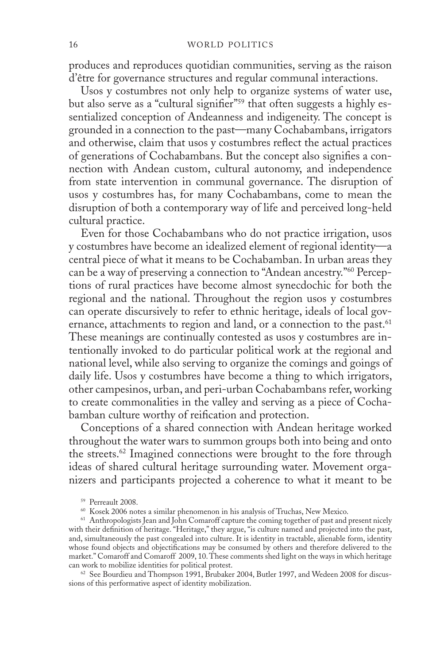produces and reproduces quotidian communities, serving as the raison d'être for governance structures and regular communal interactions.

Usos y costumbres not only help to organize systems of water use, but also serve as a "cultural signifier"<sup>59</sup> that often suggests a highly essentialized conception of Andeanness and indigeneity. The concept is grounded in a connection to the past—many Cochabambans, irrigators and otherwise, claim that usos y costumbres reflect the actual practices of generations of Cochabambans. But the concept also signifies a connection with Andean custom, cultural autonomy, and independence from state intervention in communal governance. The disruption of usos y costumbres has, for many Cochabambans, come to mean the disruption of both a contemporary way of life and perceived long-held cultural practice.

 Even for those Cochabambans who do not practice irrigation, usos y costumbres have become an idealized element of regional identity—a central piece of what it means to be Cochabamban. In urban areas they can be a way of preserving a connection to "Andean ancestry."60 Perceptions of rural practices have become almost synecdochic for both the regional and the national. Throughout the region usos y costumbres can operate discursively to refer to ethnic heritage, ideals of local governance, attachments to region and land, or a connection to the past.<sup>61</sup> These meanings are continually contested as usos y costumbres are intentionally invoked to do particular political work at the regional and national level, while also serving to organize the comings and goings of daily life. Usos y costumbres have become a thing to which irrigators, other campesinos, urban, and peri-urban Cochabambans refer, working to create commonalities in the valley and serving as a piece of Cochabamban culture worthy of reification and protection.

Conceptions of a shared connection with Andean heritage worked throughout the water wars to summon groups both into being and onto the streets.<sup>62</sup> Imagined connections were brought to the fore through ideas of shared cultural heritage surrounding water. Movement organizers and participants projected a coherence to what it meant to be

60 Kosek 2006 notes a similar phenomenon in his analysis of Truchas, New Mexico.

61 Anthropologists Jean and John Comaroff capture the coming together of past and present nicely with their definition of heritage. "Heritage," they argue, "is culture named and projected into the past, and, simultaneously the past congealed into culture. It is identity in tractable, alienable form, identity whose found objects and objectifications may be consumed by others and therefore delivered to the market." Comaroff and Comaroff 2009, 10. These comments shed light on the ways in which heritage can work to mobilize identities for political protest.

62 See Bourdieu and Thompson 1991, Brubaker 2004, Butler 1997, and Wedeen 2008 for discussions of this performative aspect of identity mobilization.

<sup>59</sup> Perreault 2008.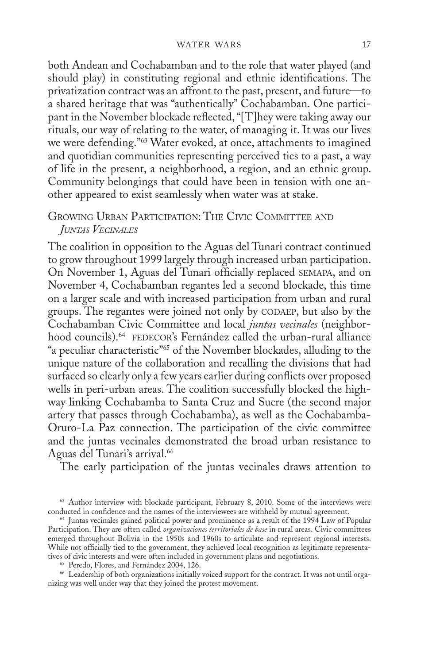#### WATER WARS 17

both Andean and Cochabamban and to the role that water played (and should play) in constituting regional and ethnic identifications. The privatization contract was an affront to the past, present, and future—to a shared heritage that was "authentically" Cochabamban. One participant in the November blockade reflected, "[T]hey were taking away our rituals, our way of relating to the water, of managing it. It was our lives we were defending."63 Water evoked, at once, attachments to imagined and quotidian communities representing perceived ties to a past, a way of life in the present, a neighborhood, a region, and an ethnic group. Community belongings that could have been in tension with one another appeared to exist seamlessly when water was at stake.

## GROWING URBAN PARTICIPATION: THE CIVIC COMMITTEE AND *Juntas Vecinales*

The coalition in opposition to the Aguas del Tunari contract continued to grow throughout 1999 largely through increased urban participation. On November 1, Aguas del Tunari officially replaced semapa, and on November 4, Cochabamban regantes led a second blockade, this time on a larger scale and with increased participation from urban and rural groups. The regantes were joined not only by CODAEP, but also by the Cochabamban Civic Committee and local *juntas vecinales* (neighborhood councils).<sup>64</sup> FEDECOR's Fernández called the urban-rural alliance "a peculiar characteristic"65 of the November blockades, alluding to the unique nature of the collaboration and recalling the divisions that had surfaced so clearly only a few years earlier during conflicts over proposed wells in peri-urban areas. The coalition successfully blocked the highway linking Cochabamba to Santa Cruz and Sucre (the second major artery that passes through Cochabamba), as well as the Cochabamba-Oruro-La Paz connection. The participation of the civic committee and the juntas vecinales demonstrated the broad urban resistance to Aguas del Tunari's arrival.<sup>66</sup>

The early participation of the juntas vecinales draws attention to

<sup>65</sup> Peredo, Flores, and Fernández 2004, 126.

<sup>66</sup> Leadership of both organizations initially voiced support for the contract. It was not until organizing was well under way that they joined the protest movement.

<sup>&</sup>lt;sup>63</sup> Author interview with blockade participant, February 8, 2010. Some of the interviews were conducted in confidence and the names of the interviewees are withheld by mutual agreement.

<sup>64</sup> Juntas vecinales gained political power and prominence as a result of the 1994 Law of Popular Participation. They are often called *organizaciones territoriales de base* in rural areas. Civic committees emerged throughout Bolivia in the 1950s and 1960s to articulate and represent regional interests. While not officially tied to the government, they achieved local recognition as legitimate representatives of civic interests and were often included in government plans and negotiations.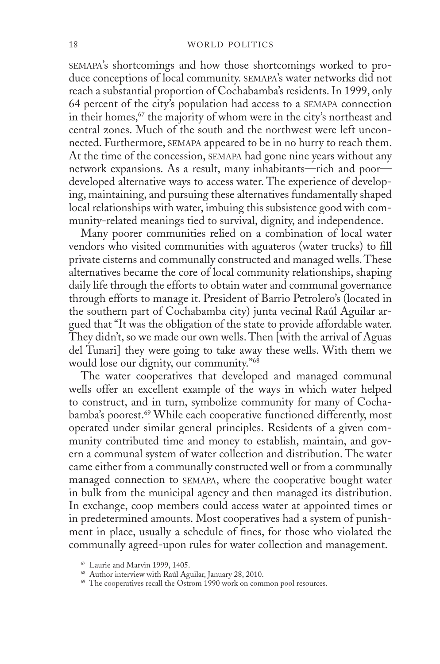#### 18 world politics

semapa's shortcomings and how those shortcomings worked to produce conceptions of local community. semapa's water networks did not reach a substantial proportion of Cochabamba's residents. In 1999, only 64 percent of the city's population had access to a semapa connection in their homes,<sup>67</sup> the majority of whom were in the city's northeast and central zones. Much of the south and the northwest were left unconnected. Furthermore, semapa appeared to be in no hurry to reach them. At the time of the concession, semapa had gone nine years without any network expansions. As a result, many inhabitants—rich and poor developed alternative ways to access water. The experience of developing, maintaining, and pursuing these alternatives fundamentally shaped local relationships with water, imbuing this subsistence good with community-related meanings tied to survival, dignity, and independence.

Many poorer communities relied on a combination of local water vendors who visited communities with aguateros (water trucks) to fill private cisterns and communally constructed and managed wells. These alternatives became the core of local community relationships, shaping daily life through the efforts to obtain water and communal governance through efforts to manage it. President of Barrio Petrolero's (located in the southern part of Cochabamba city) junta vecinal Raúl Aguilar argued that "It was the obligation of the state to provide affordable water. They didn't, so we made our own wells. Then [with the arrival of Aguas del Tunari] they were going to take away these wells. With them we would lose our dignity, our community."68

The water cooperatives that developed and managed communal wells offer an excellent example of the ways in which water helped to construct, and in turn, symbolize community for many of Cochabamba's poorest.<sup>69</sup> While each cooperative functioned differently, most operated under similar general principles. Residents of a given community contributed time and money to establish, maintain, and govern a communal system of water collection and distribution. The water came either from a communally constructed well or from a communally managed connection to semapa, where the cooperative bought water in bulk from the municipal agency and then managed its distribution. In exchange, coop members could access water at appointed times or in predetermined amounts. Most cooperatives had a system of punishment in place, usually a schedule of fines, for those who violated the communally agreed-upon rules for water collection and management.

<sup>&</sup>lt;sup>67</sup> Laurie and Marvin 1999, 1405.<br><sup>68</sup> Author interview with Raúl Aguilar, January 28, 2010.

<sup>&</sup>lt;sup>69</sup> The cooperatives recall the Ostrom 1990 work on common pool resources.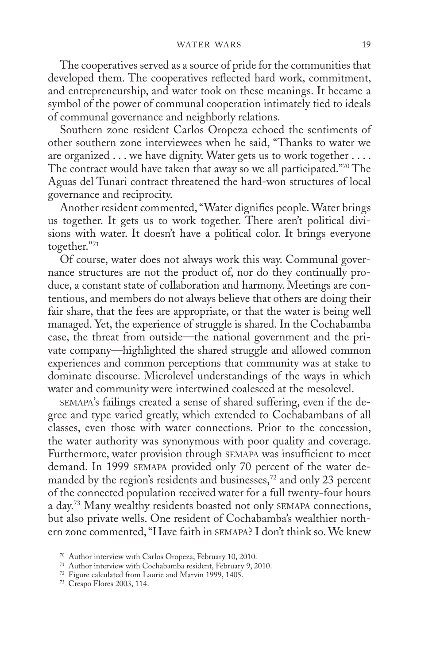The cooperatives served as a source of pride for the communities that developed them. The cooperatives reflected hard work, commitment, and entrepreneurship, and water took on these meanings. It became a symbol of the power of communal cooperation intimately tied to ideals of communal governance and neighborly relations.

Southern zone resident Carlos Oropeza echoed the sentiments of other southern zone interviewees when he said, "Thanks to water we are organized . . . we have dignity. Water gets us to work together . . . . The contract would have taken that away so we all participated."70 The Aguas del Tunari contract threatened the hard-won structures of local governance and reciprocity.

Another resident commented, "Water dignifies people. Water brings us together. It gets us to work together. There aren't political divisions with water. It doesn't have a political color. It brings everyone together."71

Of course, water does not always work this way. Communal governance structures are not the product of, nor do they continually produce, a constant state of collaboration and harmony. Meetings are contentious, and members do not always believe that others are doing their fair share, that the fees are appropriate, or that the water is being well managed. Yet, the experience of struggle is shared. In the Cochabamba case, the threat from outside—the national government and the private company—highlighted the shared struggle and allowed common experiences and common perceptions that community was at stake to dominate discourse. Microlevel understandings of the ways in which water and community were intertwined coalesced at the mesolevel.

semapa's failings created a sense of shared suffering, even if the degree and type varied greatly, which extended to Cochabambans of all classes, even those with water connections. Prior to the concession, the water authority was synonymous with poor quality and coverage. Furthermore, water provision through semapa was insufficient to meet demand. In 1999 semapa provided only 70 percent of the water demanded by the region's residents and businesses,<sup>72</sup> and only 23 percent of the connected population received water for a full twenty-four hours a day.73 Many wealthy residents boasted not only semapa connections, but also private wells. One resident of Cochabamba's wealthier northern zone commented, "Have faith in semapa? I don't think so. We knew

<sup>&</sup>lt;sup>70</sup> Author interview with Carlos Oropeza, February 10, 2010.<br><sup>71</sup> Author interview with Cochabamba resident, February 9, 2010.<br><sup>72</sup> Figure calculated from Laurie and Marvin 1999, 1405.

<sup>73</sup> Crespo Flores 2003, 114.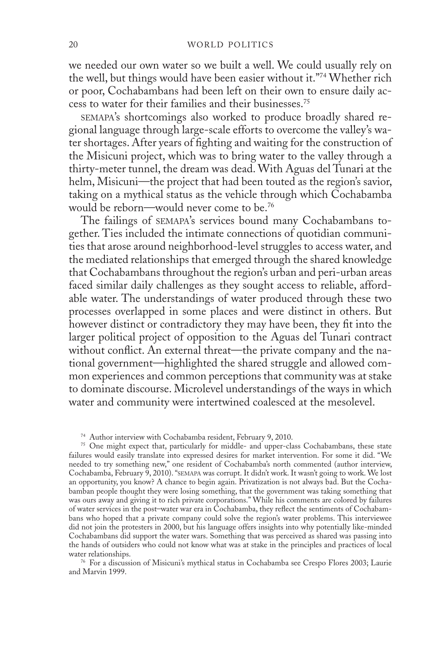we needed our own water so we built a well. We could usually rely on the well, but things would have been easier without it."74 Whether rich or poor, Cochabambans had been left on their own to ensure daily access to water for their families and their businesses.75

semapa's shortcomings also worked to produce broadly shared regional language through large-scale efforts to overcome the valley's water shortages. After years of fighting and waiting for the construction of the Misicuni project, which was to bring water to the valley through a thirty-meter tunnel, the dream was dead. With Aguas del Tunari at the helm, Misicuni—the project that had been touted as the region's savior, taking on a mythical status as the vehicle through which Cochabamba would be reborn—would never come to be.76

The failings of semapa's services bound many Cochabambans together. Ties included the intimate connections of quotidian communities that arose around neighborhood-level struggles to access water, and the mediated relationships that emerged through the shared knowledge that Cochabambans throughout the region's urban and peri-urban areas faced similar daily challenges as they sought access to reliable, affordable water. The understandings of water produced through these two processes overlapped in some places and were distinct in others. But however distinct or contradictory they may have been, they fit into the larger political project of opposition to the Aguas del Tunari contract without conflict. An external threat—the private company and the national government—highlighted the shared struggle and allowed common experiences and common perceptions that community was at stake to dominate discourse. Microlevel understandings of the ways in which water and community were intertwined coalesced at the mesolevel.

<sup>74</sup> Author interview with Cochabamba resident, February 9, 2010.<br><sup>75</sup> One might expect that, particularly for middle- and upper-class Cochabambans, these state failures would easily translate into expressed desires for market intervention. For some it did. "We needed to try something new," one resident of Cochabamba's north commented (author interview, Cochabamba, February 9, 2010). "semapa was corrupt. It didn't work. It wasn't going to work. We lost an opportunity, you know? A chance to begin again. Privatization is not always bad. But the Cochabamban people thought they were losing something, that the government was taking something that was ours away and giving it to rich private corporations." While his comments are colored by failures of water services in the post–water war era in Cochabamba, they reflect the sentiments of Cochabambans who hoped that a private company could solve the region's water problems. This interviewee did not join the protesters in 2000, but his language offers insights into why potentially like-minded Cochabambans did support the water wars. Something that was perceived as shared was passing into the hands of outsiders who could not know what was at stake in the principles and practices of local water relationships.

76 For a discussion of Misicuni's mythical status in Cochabamba see Crespo Flores 2003; Laurie and Marvin 1999.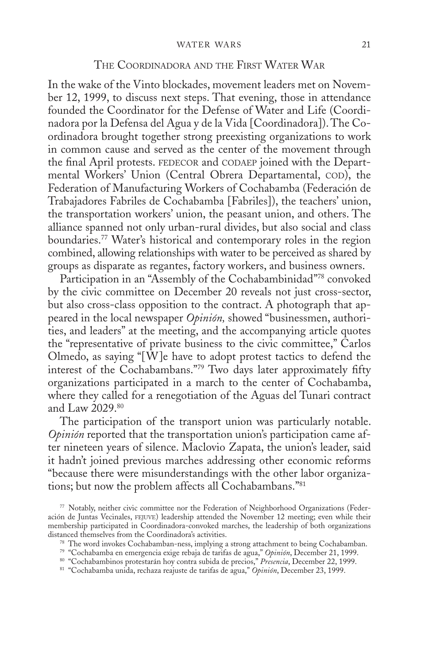## The Coordinadora and the First Water War

In the wake of the Vinto blockades, movement leaders met on November 12, 1999, to discuss next steps. That evening, those in attendance founded the Coordinator for the Defense of Water and Life (Coordinadora por la Defensa del Agua y de la Vida [Coordinadora]). The Coordinadora brought together strong preexisting organizations to work in common cause and served as the center of the movement through the final April protests. FEDECOR and CODAEP joined with the Departmental Workers' Union (Central Obrera Departamental, COD), the Federation of Manufacturing Workers of Cochabamba (Federación de Trabajadores Fabriles de Cochabamba [Fabriles]), the teachers' union, the transportation workers' union, the peasant union, and others. The alliance spanned not only urban-rural divides, but also social and class boundaries.77 Water's historical and contemporary roles in the region combined, allowing relationships with water to be perceived as shared by groups as disparate as regantes, factory workers, and business owners.

Participation in an "Assembly of the Cochabambinidad"78 convoked by the civic committee on December 20 reveals not just cross-sector, but also cross-class opposition to the contract. A photograph that appeared in the local newspaper *Opinión,* showed "businessmen, authorities, and leaders" at the meeting, and the accompanying article quotes the "representative of private business to the civic committee," Carlos Olmedo, as saying "[W]e have to adopt protest tactics to defend the interest of the Cochabambans."79 Two days later approximately fifty organizations participated in a march to the center of Cochabamba, where they called for a renegotiation of the Aguas del Tunari contract and Law 2029.80

 The participation of the transport union was particularly notable. *Opinión* reported that the transportation union's participation came after nineteen years of silence. Maclovio Zapata, the union's leader, said it hadn't joined previous marches addressing other economic reforms "because there were misunderstandings with the other labor organizations; but now the problem affects all Cochabambans."81

<sup>77</sup> Notably, neither civic committee nor the Federation of Neighborhood Organizations (Federación de Juntas Vecinales, fejuve) leadership attended the November 12 meeting; even while their membership participated in Coordinadora-convoked marches, the leadership of both organizations

 $^{78}$  The word invokes Cochabamban-ness, implying a strong attachment to being Cochabamban.

<sup>&</sup>lt;sup>79</sup> "Cochabamba en emergencia exige rebaja de tarifas de agua," *Opinión*, December 21, 1999.<br><sup>80</sup> "Cochabambinos protestarán hoy contra subida de precios," *Presencia*, December 22, 1999.<br><sup>81</sup> "Cochabamba unida, rechaza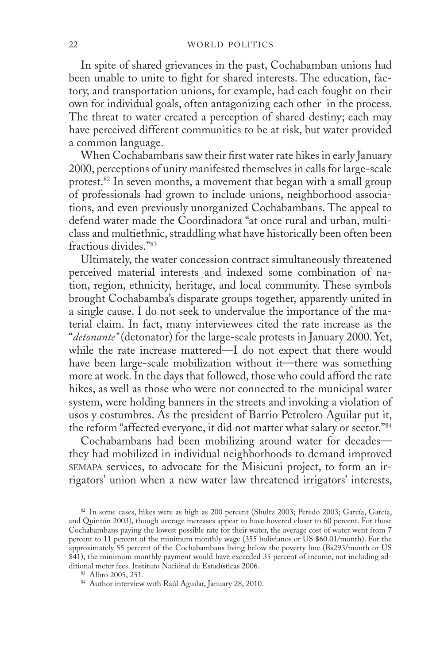In spite of shared grievances in the past, Cochabamban unions had been unable to unite to fight for shared interests. The education, factory, and transportation unions, for example, had each fought on their own for individual goals, often antagonizing each other in the process. The threat to water created a perception of shared destiny; each may have perceived different communities to be at risk, but water provided a common language.

When Cochabambans saw their first water rate hikes in early January 2000, perceptions of unity manifested themselves in calls for large-scale protest.<sup>82</sup> In seven months, a movement that began with a small group of professionals had grown to include unions, neighborhood associations, and even previously unorganized Cochabambans. The appeal to defend water made the Coordinadora "at once rural and urban, multiclass and multiethnic, straddling what have historically been often been fractious divides."83

Ultimately, the water concession contract simultaneously threatened perceived material interests and indexed some combination of nation, region, ethnicity, heritage, and local community. These symbols brought Cochabamba's disparate groups together, apparently united in a single cause. I do not seek to undervalue the importance of the material claim. In fact, many interviewees cited the rate increase as the "*detonante"* (detonator) for the large-scale protests in January 2000. Yet, while the rate increase mattered—I do not expect that there would have been large-scale mobilization without it—there was something more at work. In the days that followed, those who could afford the rate hikes, as well as those who were not connected to the municipal water system, were holding banners in the streets and invoking a violation of usos y costumbres. As the president of Barrio Petrolero Aguilar put it, the reform "affected everyone, it did not matter what salary or sector."84

Cochabambans had been mobilizing around water for decades they had mobilized in individual neighborhoods to demand improved semapa services, to advocate for the Misicuni project, to form an irrigators' union when a new water law threatened irrigators' interests,

<sup>82</sup> In some cases, hikes were as high as 200 percent (Shultz 2003; Peredo 2003; García, García, and Quintón 2003), though average increases appear to have hovered closer to 60 percent. For those Cochabambans paying the lowest possible rate for their water, the average cost of water went from 7 percent to 11 percent of the minimum monthly wage (355 bolivianos or US \$60.01/month). For the approximately 55 percent of the Cochabambans living below the poverty line (Bs293/month or US \$41), the minimum monthly payment would have exceeded 35 percent of income, not including additional meter fees. Instituto Naciónal de Estadísticas 2006.

<sup>83</sup> Albro 2005, 251.

<sup>84</sup> Author interview with Raúl Aguilar, January 28, 2010.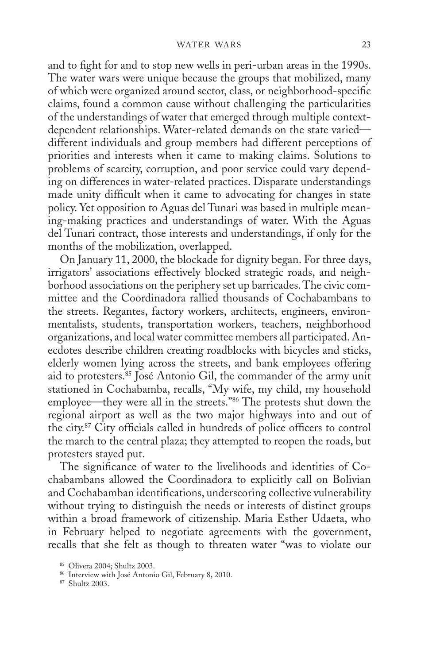and to fight for and to stop new wells in peri-urban areas in the 1990s. The water wars were unique because the groups that mobilized, many of which were organized around sector, class, or neighborhood-specific claims, found a common cause without challenging the particularities of the understandings of water that emerged through multiple contextdependent relationships. Water-related demands on the state varied different individuals and group members had different perceptions of priorities and interests when it came to making claims. Solutions to problems of scarcity, corruption, and poor service could vary depending on differences in water-related practices. Disparate understandings made unity difficult when it came to advocating for changes in state policy. Yet opposition to Aguas del Tunari was based in multiple meaning-making practices and understandings of water. With the Aguas del Tunari contract, those interests and understandings, if only for the months of the mobilization, overlapped.

 On January 11, 2000, the blockade for dignity began. For three days, irrigators' associations effectively blocked strategic roads, and neighborhood associations on the periphery set up barricades. The civic committee and the Coordinadora rallied thousands of Cochabambans to the streets. Regantes, factory workers, architects, engineers, environmentalists, students, transportation workers, teachers, neighborhood organizations, and local water committee members all participated. Anecdotes describe children creating roadblocks with bicycles and sticks, elderly women lying across the streets, and bank employees offering aid to protesters.85 José Antonio Gil, the commander of the army unit stationed in Cochabamba, recalls, "My wife, my child, my household employee—they were all in the streets."86 The protests shut down the regional airport as well as the two major highways into and out of the city.87 City officials called in hundreds of police officers to control the march to the central plaza; they attempted to reopen the roads, but protesters stayed put.

The significance of water to the livelihoods and identities of Cochabambans allowed the Coordinadora to explicitly call on Bolivian and Cochabamban identifications, underscoring collective vulnerability without trying to distinguish the needs or interests of distinct groups within a broad framework of citizenship. Maria Esther Udaeta, who in February helped to negotiate agreements with the government, recalls that she felt as though to threaten water "was to violate our

<sup>85</sup> Olivera 2004; Shultz 2003.

 $\%$  Interview with José Antonio Gil, February 8, 2010.  $\%$ Shultz 2003.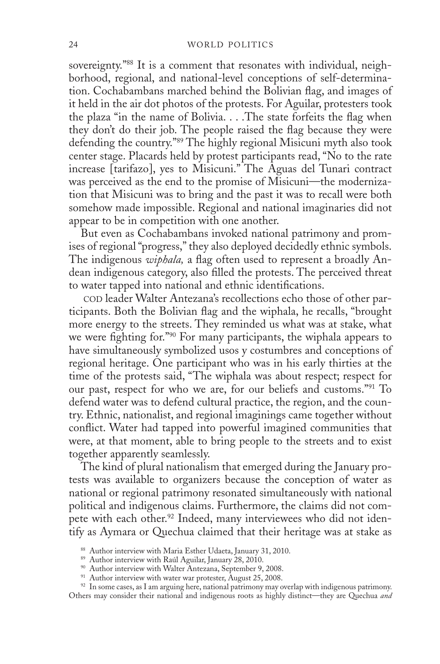sovereignty."88 It is a comment that resonates with individual, neighborhood, regional, and national-level conceptions of self-determination. Cochabambans marched behind the Bolivian flag, and images of it held in the air dot photos of the protests. For Aguilar, protesters took the plaza "in the name of Bolivia. . . .The state forfeits the flag when they don't do their job. The people raised the flag because they were defending the country."89 The highly regional Misicuni myth also took center stage. Placards held by protest participants read, "No to the rate increase [tarifazo], yes to Misicuni." The Aguas del Tunari contract was perceived as the end to the promise of Misicuni—the modernization that Misicuni was to bring and the past it was to recall were both somehow made impossible. Regional and national imaginaries did not appear to be in competition with one another.

But even as Cochabambans invoked national patrimony and promises of regional "progress," they also deployed decidedly ethnic symbols. The indigenous *wiphala*, a flag often used to represent a broadly Andean indigenous category, also filled the protests. The perceived threat to water tapped into national and ethnic identifications.

cod leader Walter Antezana's recollections echo those of other participants. Both the Bolivian flag and the wiphala, he recalls, "brought more energy to the streets. They reminded us what was at stake, what we were fighting for."90 For many participants, the wiphala appears to have simultaneously symbolized usos y costumbres and conceptions of regional heritage. One participant who was in his early thirties at the time of the protests said, "The wiphala was about respect; respect for our past, respect for who we are, for our beliefs and customs."91 To defend water was to defend cultural practice, the region, and the country. Ethnic, nationalist, and regional imaginings came together without conflict. Water had tapped into powerful imagined communities that were, at that moment, able to bring people to the streets and to exist together apparently seamlessly.

The kind of plural nationalism that emerged during the January protests was available to organizers because the conception of water as national or regional patrimony resonated simultaneously with national political and indigenous claims. Furthermore, the claims did not compete with each other.<sup>92</sup> Indeed, many interviewees who did not identify as Aymara or Quechua claimed that their heritage was at stake as

- 
- 

% Author interview with Maria Esther Udaeta, January 31, 2010.<br>
% Author interview with Raúl Aguilar, January 28, 2010.<br>
% Author interview with Walter Antezana, September 9, 2008.<br>
% Author interview with water war prote Others may consider their national and indigenous roots as highly distinct—they are Quechua *and*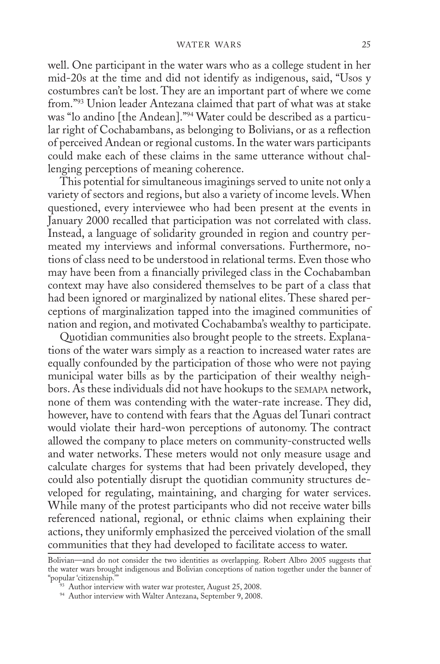well. One participant in the water wars who as a college student in her mid-20s at the time and did not identify as indigenous, said, "Usos y costumbres can't be lost. They are an important part of where we come from."93 Union leader Antezana claimed that part of what was at stake was "lo andino [the Andean]."<sup>94</sup> Water could be described as a particular right of Cochabambans, as belonging to Bolivians, or as a reflection of perceived Andean or regional customs. In the water wars participants could make each of these claims in the same utterance without challenging perceptions of meaning coherence.

This potential for simultaneous imaginings served to unite not only a variety of sectors and regions, but also a variety of income levels. When questioned, every interviewee who had been present at the events in January 2000 recalled that participation was not correlated with class. Instead, a language of solidarity grounded in region and country permeated my interviews and informal conversations. Furthermore, notions of class need to be understood in relational terms. Even those who may have been from a financially privileged class in the Cochabamban context may have also considered themselves to be part of a class that had been ignored or marginalized by national elites. These shared perceptions of marginalization tapped into the imagined communities of nation and region, and motivated Cochabamba's wealthy to participate.

Quotidian communities also brought people to the streets. Explanations of the water wars simply as a reaction to increased water rates are equally confounded by the participation of those who were not paying municipal water bills as by the participation of their wealthy neighbors. As these individuals did not have hookups to the semapa network, none of them was contending with the water-rate increase. They did, however, have to contend with fears that the Aguas del Tunari contract would violate their hard-won perceptions of autonomy. The contract allowed the company to place meters on community-constructed wells and water networks. These meters would not only measure usage and calculate charges for systems that had been privately developed, they could also potentially disrupt the quotidian community structures developed for regulating, maintaining, and charging for water services. While many of the protest participants who did not receive water bills referenced national, regional, or ethnic claims when explaining their actions, they uniformly emphasized the perceived violation of the small communities that they had developed to facilitate access to water.

Bolivian—and do not consider the two identities as overlapping. Robert Albro 2005 suggests that the water wars brought indigenous and Bolivian conceptions of nation together under the banner of "popular 'citizenship.'" 93 Author interview with water war protester, August 25, 2008. 94 Author interview with Walter Antezana, September 9, 2008.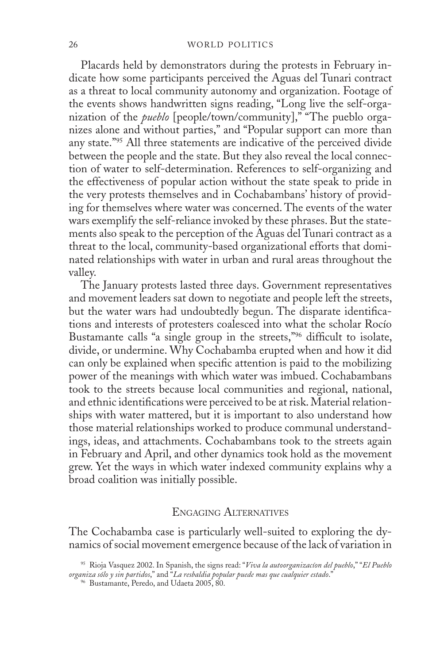Placards held by demonstrators during the protests in February indicate how some participants perceived the Aguas del Tunari contract as a threat to local community autonomy and organization. Footage of the events shows handwritten signs reading, "Long live the self-organization of the *pueblo* [people/town/community]," "The pueblo organizes alone and without parties," and "Popular support can more than any state."<sup>95</sup> All three statements are indicative of the perceived divide between the people and the state. But they also reveal the local connection of water to self-determination. References to self-organizing and the effectiveness of popular action without the state speak to pride in the very protests themselves and in Cochabambans' history of providing for themselves where water was concerned. The events of the water wars exemplify the self-reliance invoked by these phrases. But the statements also speak to the perception of the Aguas del Tunari contract as a threat to the local, community-based organizational efforts that dominated relationships with water in urban and rural areas throughout the valley.

The January protests lasted three days. Government representatives and movement leaders sat down to negotiate and people left the streets, but the water wars had undoubtedly begun. The disparate identifications and interests of protesters coalesced into what the scholar Rocío Bustamante calls "a single group in the streets,"96 difficult to isolate, divide, or undermine. Why Cochabamba erupted when and how it did can only be explained when specific attention is paid to the mobilizing power of the meanings with which water was imbued. Cochabambans took to the streets because local communities and regional, national, and ethnic identifications were perceived to be at risk. Material relationships with water mattered, but it is important to also understand how those material relationships worked to produce communal understandings, ideas, and attachments. Cochabambans took to the streets again in February and April, and other dynamics took hold as the movement grew. Yet the ways in which water indexed community explains why a broad coalition was initially possible.

### Engaging Alternatives

The Cochabamba case is particularly well-suited to exploring the dynamics of social movement emergence because of the lack of variation in

<sup>95</sup> Rioja Vasquez 2002. In Spanish, the signs read: "*Viva la autoorganizacíon del pueblo*," "*El Pueblo organiza sólo y sin partidos*," and "*La resbaldia popular puede mas que cualquier estado*."

<sup>96</sup> Bustamante, Peredo, and Udaeta 2005, 80.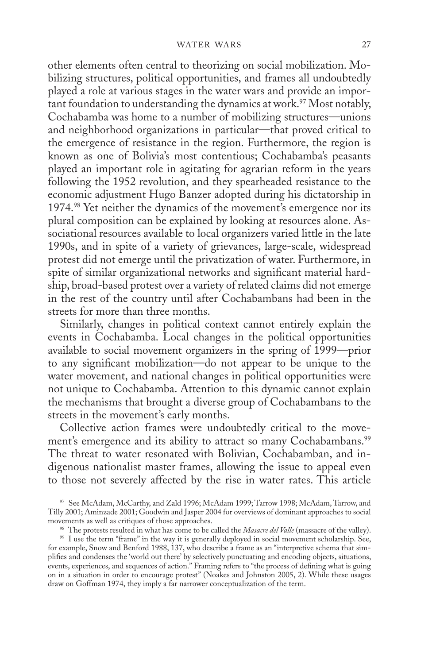other elements often central to theorizing on social mobilization. Mobilizing structures, political opportunities, and frames all undoubtedly played a role at various stages in the water wars and provide an impor- $\frac{1}{2}$  tant foundation to understanding the dynamics at work.<sup>97</sup> Most notably, Cochabamba was home to a number of mobilizing structures—unions and neighborhood organizations in particular—that proved critical to the emergence of resistance in the region. Furthermore, the region is known as one of Bolivia's most contentious; Cochabamba's peasants played an important role in agitating for agrarian reform in the years following the 1952 revolution, and they spearheaded resistance to the economic adjustment Hugo Banzer adopted during his dictatorship in 1974.98 Yet neither the dynamics of the movement's emergence nor its plural composition can be explained by looking at resources alone. Associational resources available to local organizers varied little in the late 1990s, and in spite of a variety of grievances, large-scale, widespread protest did not emerge until the privatization of water. Furthermore, in spite of similar organizational networks and significant material hardship, broad-based protest over a variety of related claims did not emerge in the rest of the country until after Cochabambans had been in the streets for more than three months.

Similarly, changes in political context cannot entirely explain the events in Cochabamba. Local changes in the political opportunities available to social movement organizers in the spring of 1999—prior to any significant mobilization—do not appear to be unique to the water movement, and national changes in political opportunities were not unique to Cochabamba. Attention to this dynamic cannot explain the mechanisms that brought a diverse group of Cochabambans to the streets in the movement's early months.

Collective action frames were undoubtedly critical to the movement's emergence and its ability to attract so many Cochabambans.<sup>99</sup> The threat to water resonated with Bolivian, Cochabamban, and indigenous nationalist master frames, allowing the issue to appeal even to those not severely affected by the rise in water rates. This article

<sup>99</sup> I use the term "frame" in the way it is generally deployed in social movement scholarship. See, for example, Snow and Benford 1988, 137, who describe a frame as an "interpretive schema that simplifies and condenses the 'world out there' by selectively punctuating and encoding objects, situations, events, experiences, and sequences of action." Framing refers to "the process of defining what is going on in a situation in order to encourage protest" (Noakes and Johnston 2005, 2). While these usages draw on Goffman 1974, they imply a far narrower conceptualization of the term.

<sup>97</sup> See McAdam, McCarthy, and Zald 1996; McAdam 1999; Tarrow 1998; McAdam, Tarrow, and Tilly 2001; Aminzade 2001; Goodwin and Jasper 2004 for overviews of dominant approaches to social movements as well as critiques of those approaches.<br><sup>98</sup> The protests resulted in what has come to be called the *Masacre del Valle* (massacre of the valley).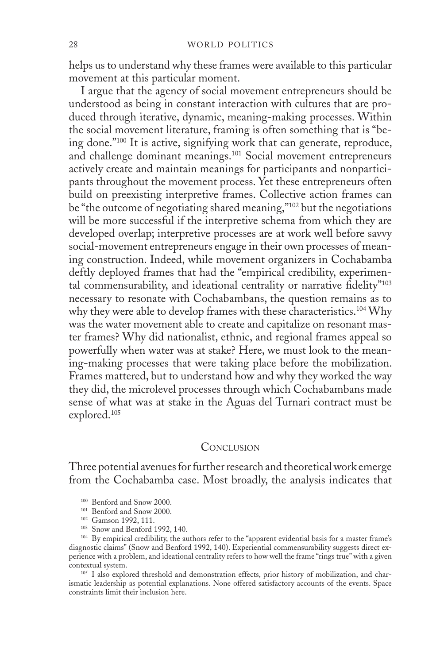helps us to understand why these frames were available to this particular movement at this particular moment.

I argue that the agency of social movement entrepreneurs should be understood as being in constant interaction with cultures that are produced through iterative, dynamic, meaning-making processes. Within the social movement literature, framing is often something that is "being done."100 It is active, signifying work that can generate, reproduce, and challenge dominant meanings.<sup>101</sup> Social movement entrepreneurs actively create and maintain meanings for participants and nonparticipants throughout the movement process. Yet these entrepreneurs often build on preexisting interpretive frames. Collective action frames can be "the outcome of negotiating shared meaning,"102 but the negotiations will be more successful if the interpretive schema from which they are developed overlap; interpretive processes are at work well before savvy social-movement entrepreneurs engage in their own processes of meaning construction. Indeed, while movement organizers in Cochabamba deftly deployed frames that had the "empirical credibility, experimental commensurability, and ideational centrality or narrative fidelity"103 necessary to resonate with Cochabambans, the question remains as to why they were able to develop frames with these characteristics.<sup>104</sup> Why was the water movement able to create and capitalize on resonant master frames? Why did nationalist, ethnic, and regional frames appeal so powerfully when water was at stake? Here, we must look to the meaning-making processes that were taking place before the mobilization. Frames mattered, but to understand how and why they worked the way they did, the microlevel processes through which Cochabambans made sense of what was at stake in the Aguas del Turnari contract must be explored.105

#### **CONCLUSION**

Three potential avenues for further research and theoretical work emerge from the Cochabamba case. Most broadly, the analysis indicates that

- <sup>100</sup> Benford and Snow 2000.
- <sup>101</sup> Benford and Snow 2000.
- <sup>102</sup> Gamson 1992, 111.
- 103 Snow and Benford 1992, 140.

<sup>104</sup> By empirical credibility, the authors refer to the "apparent evidential basis for a master frame's diagnostic claims" (Snow and Benford 1992, 140). Experiential commensurability suggests direct experience with a problem, and ideational centrality refers to how well the frame "rings true" with a given

<sup>105</sup> I also explored threshold and demonstration effects, prior history of mobilization, and charismatic leadership as potential explanations. None offered satisfactory accounts of the events. Space constraints limit their inclusion here.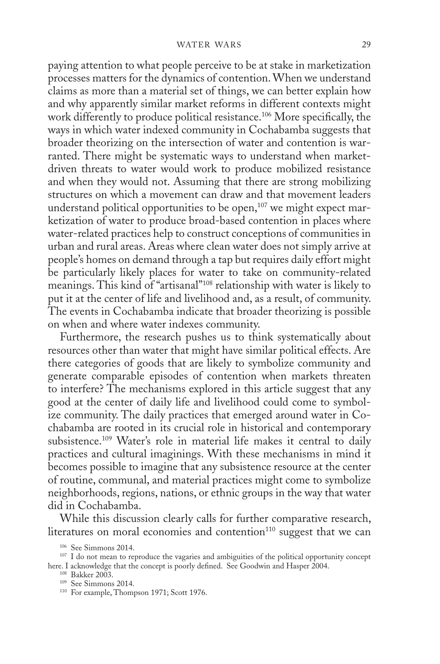paying attention to what people perceive to be at stake in marketization processes matters for the dynamics of contention. When we understand claims as more than a material set of things, we can better explain how and why apparently similar market reforms in different contexts might work differently to produce political resistance.<sup>106</sup> More specifically, the ways in which water indexed community in Cochabamba suggests that broader theorizing on the intersection of water and contention is warranted. There might be systematic ways to understand when marketdriven threats to water would work to produce mobilized resistance and when they would not. Assuming that there are strong mobilizing structures on which a movement can draw and that movement leaders understand political opportunities to be open,<sup>107</sup> we might expect marketization of water to produce broad-based contention in places where water-related practices help to construct conceptions of communities in urban and rural areas. Areas where clean water does not simply arrive at people's homes on demand through a tap but requires daily effort might be particularly likely places for water to take on community-related meanings. This kind of "artisanal"108 relationship with water is likely to put it at the center of life and livelihood and, as a result, of community. The events in Cochabamba indicate that broader theorizing is possible on when and where water indexes community.

Furthermore, the research pushes us to think systematically about resources other than water that might have similar political effects. Are there categories of goods that are likely to symbolize community and generate comparable episodes of contention when markets threaten to interfere? The mechanisms explored in this article suggest that any good at the center of daily life and livelihood could come to symbolize community. The daily practices that emerged around water in Cochabamba are rooted in its crucial role in historical and contemporary subsistence.109 Water's role in material life makes it central to daily practices and cultural imaginings. With these mechanisms in mind it becomes possible to imagine that any subsistence resource at the center of routine, communal, and material practices might come to symbolize neighborhoods, regions, nations, or ethnic groups in the way that water did in Cochabamba.

While this discussion clearly calls for further comparative research, literatures on moral economies and contention $110$  suggest that we can

<sup>106</sup> See Simmons 2014.

<sup>&</sup>lt;sup>107</sup> I do not mean to reproduce the vagaries and ambiguities of the political opportunity concept here. I acknowledge that the concept is poorly defined. See Goodwin and Hasper 2004.

<sup>108</sup> Bakker 2003.

<sup>109</sup> See Simmons 2014.

<sup>110</sup> For example, Thompson 1971; Scott 1976.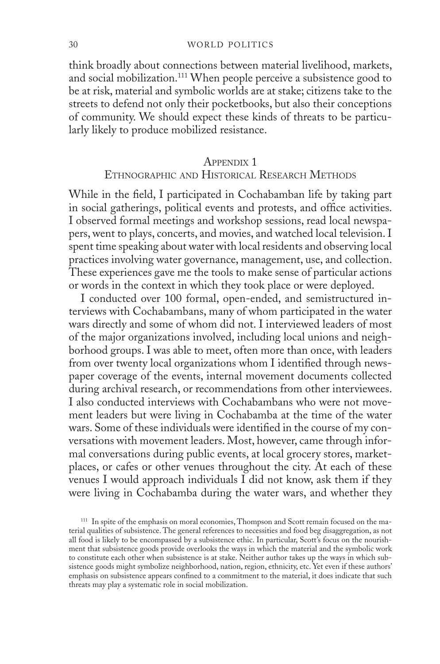#### 30 WORLD POLITICS

think broadly about connections between material livelihood, markets, and social mobilization.<sup>111</sup> When people perceive a subsistence good to be at risk, material and symbolic worlds are at stake; citizens take to the streets to defend not only their pocketbooks, but also their conceptions of community. We should expect these kinds of threats to be particularly likely to produce mobilized resistance.

#### APPENDIX<sub>1</sub>

## Ethnographic and Historical Research Methods

While in the field, I participated in Cochabamban life by taking part in social gatherings, political events and protests, and office activities. I observed formal meetings and workshop sessions, read local newspapers, went to plays, concerts, and movies, and watched local television. I spent time speaking about water with local residents and observing local practices involving water governance, management, use, and collection. These experiences gave me the tools to make sense of particular actions or words in the context in which they took place or were deployed.

I conducted over 100 formal, open-ended, and semistructured interviews with Cochabambans, many of whom participated in the water wars directly and some of whom did not. I interviewed leaders of most of the major organizations involved, including local unions and neighborhood groups. I was able to meet, often more than once, with leaders from over twenty local organizations whom I identified through newspaper coverage of the events, internal movement documents collected during archival research, or recommendations from other interviewees. I also conducted interviews with Cochabambans who were not movement leaders but were living in Cochabamba at the time of the water wars. Some of these individuals were identified in the course of my conversations with movement leaders. Most, however, came through informal conversations during public events, at local grocery stores, marketplaces, or cafes or other venues throughout the city. At each of these venues I would approach individuals I did not know, ask them if they were living in Cochabamba during the water wars, and whether they

<sup>&</sup>lt;sup>111</sup> In spite of the emphasis on moral economies, Thompson and Scott remain focused on the material qualities of subsistence. The general references to necessities and food beg disaggregation, as not all food is likely to be encompassed by a subsistence ethic. In particular, Scott's focus on the nourishment that subsistence goods provide overlooks the ways in which the material and the symbolic work to constitute each other when subsistence is at stake. Neither author takes up the ways in which subsistence goods might symbolize neighborhood, nation, region, ethnicity, etc. Yet even if these authors' emphasis on subsistence appears confined to a commitment to the material, it does indicate that such threats may play a systematic role in social mobilization.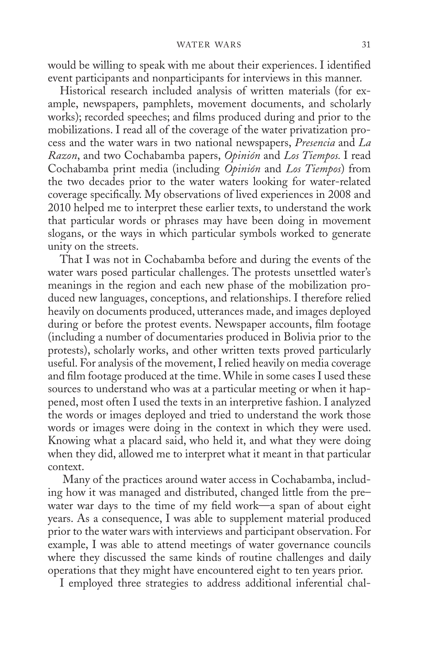would be willing to speak with me about their experiences. I identified event participants and nonparticipants for interviews in this manner.

Historical research included analysis of written materials (for example, newspapers, pamphlets, movement documents, and scholarly works); recorded speeches; and films produced during and prior to the mobilizations. I read all of the coverage of the water privatization process and the water wars in two national newspapers, *Presencia* and *La Razon*, and two Cochabamba papers, *Opinión* and *Los Tiempos.* I read Cochabamba print media (including *Opinión* and *Los Tiempos*) from the two decades prior to the water waters looking for water-related coverage specifically. My observations of lived experiences in 2008 and 2010 helped me to interpret these earlier texts, to understand the work that particular words or phrases may have been doing in movement slogans, or the ways in which particular symbols worked to generate unity on the streets.

That I was not in Cochabamba before and during the events of the water wars posed particular challenges. The protests unsettled water's meanings in the region and each new phase of the mobilization produced new languages, conceptions, and relationships. I therefore relied heavily on documents produced, utterances made, and images deployed during or before the protest events. Newspaper accounts, film footage (including a number of documentaries produced in Bolivia prior to the protests), scholarly works, and other written texts proved particularly useful. For analysis of the movement, I relied heavily on media coverage and film footage produced at the time. While in some cases I used these sources to understand who was at a particular meeting or when it happened, most often I used the texts in an interpretive fashion. I analyzed the words or images deployed and tried to understand the work those words or images were doing in the context in which they were used. Knowing what a placard said, who held it, and what they were doing when they did, allowed me to interpret what it meant in that particular context.

 Many of the practices around water access in Cochabamba, including how it was managed and distributed, changed little from the pre– water war days to the time of my field work—a span of about eight years. As a consequence, I was able to supplement material produced prior to the water wars with interviews and participant observation. For example, I was able to attend meetings of water governance councils where they discussed the same kinds of routine challenges and daily operations that they might have encountered eight to ten years prior.

I employed three strategies to address additional inferential chal-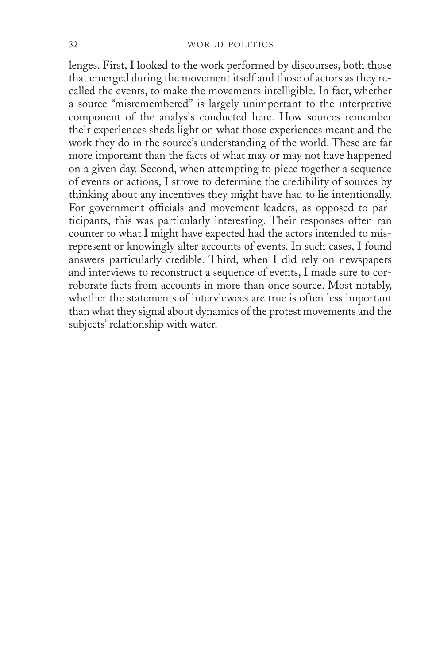#### 32 world politics

lenges. First, I looked to the work performed by discourses, both those that emerged during the movement itself and those of actors as they recalled the events, to make the movements intelligible. In fact, whether a source "misremembered" is largely unimportant to the interpretive component of the analysis conducted here. How sources remember their experiences sheds light on what those experiences meant and the work they do in the source's understanding of the world. These are far more important than the facts of what may or may not have happened on a given day. Second, when attempting to piece together a sequence of events or actions, I strove to determine the credibility of sources by thinking about any incentives they might have had to lie intentionally. For government officials and movement leaders, as opposed to participants, this was particularly interesting. Their responses often ran counter to what I might have expected had the actors intended to misrepresent or knowingly alter accounts of events. In such cases, I found answers particularly credible. Third, when I did rely on newspapers and interviews to reconstruct a sequence of events, I made sure to corroborate facts from accounts in more than once source. Most notably, whether the statements of interviewees are true is often less important than what they signal about dynamics of the protest movements and the subjects' relationship with water.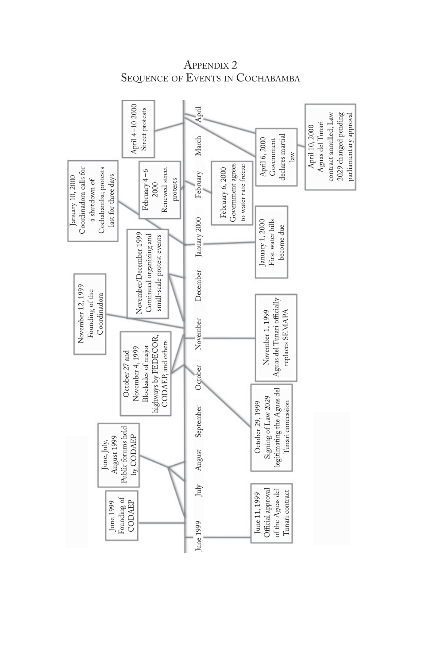

APPENDIX<sub>2</sub> SEQUENCE OF EVENTS IN COCHABAMBA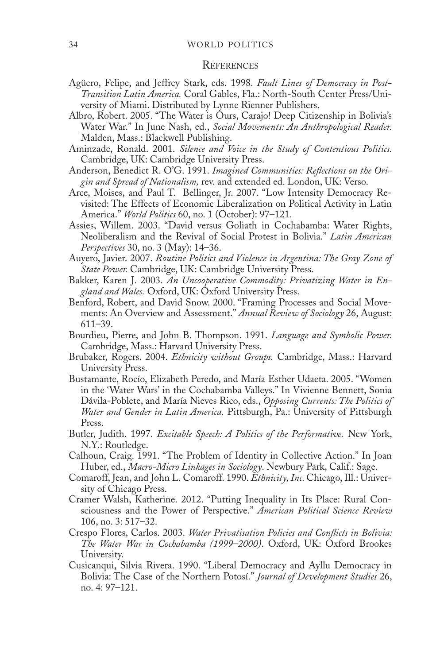#### **REFERENCES**

- Agüero, Felipe, and Jeffrey Stark, eds. 1998. *Fault Lines of Democracy in Post-Transition Latin America.* Coral Gables, Fla.: North-South Center Press/University of Miami. Distributed by Lynne Rienner Publishers.
- Albro, Robert. 2005. "The Water is Ours, Carajo! Deep Citizenship in Bolivia's Water War." In June Nash, ed., *Social Movements: An Anthropological Reader.*  Malden, Mass.: Blackwell Publishing.
- Aminzade, Ronald. 2001. *Silence and Voice in the Study of Contentious Politics.*  Cambridge, UK: Cambridge University Press.
- Anderson, Benedict R. O'G. 1991. *Imagined Communities: Reflections on the Origin and Spread of Nationalism,* rev. and extended ed. London, UK: Verso.
- Arce, Moises, and Paul T. Bellinger, Jr. 2007. "Low Intensity Democracy Revisited: The Effects of Economic Liberalization on Political Activity in Latin America." *World Politics* 60, no. 1 (October): 97–121.
- Assies, Willem. 2003. "David versus Goliath in Cochabamba: Water Rights, Neoliberalism and the Revival of Social Protest in Bolivia." *Latin American Perspectives* 30, no. 3 (May): 14–36.
- Auyero, Javier. 2007. *Routine Politics and Violence in Argentina: The Gray Zone of State Power.* Cambridge, UK: Cambridge University Press.
- Bakker, Karen J. 2003. *An Uncooperative Commodity: Privatizing Water in England and Wales.* Oxford, UK: Oxford University Press.
- Benford, Robert, and David Snow. 2000. "Framing Processes and Social Movements: An Overview and Assessment." *Annual Review of Sociology* 26, August: 611–39.
- Bourdieu, Pierre, and John B. Thompson. 1991. *Language and Symbolic Power.*  Cambridge, Mass.: Harvard University Press.
- Brubaker, Rogers. 2004. *Ethnicity without Groups.* Cambridge, Mass.: Harvard University Press.
- Bustamante, Rocío, Elizabeth Peredo, and María Esther Udaeta. 2005. "Women in the 'Water Wars' in the Cochabamba Valleys." In Vivienne Bennett, Sonia Dávila-Poblete, and María Nieves Rico, eds., *Opposing Currents: The Politics of Water and Gender in Latin America.* Pittsburgh, Pa.: University of Pittsburgh Press.
- Butler, Judith. 1997. *Excitable Speech: A Politics of the Performative.* New York, N.Y.: Routledge.
- Calhoun, Craig. 1991. "The Problem of Identity in Collective Action." In Joan Huber, ed., *Macro-Micro Linkages in Sociology*. Newbury Park, Calif.: Sage.
- Comaroff, Jean, and John L. Comaroff. 1990. *Ethnicity, Inc.* Chicago, Ill.: University of Chicago Press.
- Cramer Walsh, Katherine. 2012. "Putting Inequality in Its Place: Rural Consciousness and the Power of Perspective." *American Political Science Review* 106, no. 3: 517–32.
- Crespo Flores, Carlos. 2003. *Water Privatisation Policies and Conflicts in Bolivia: The Water War in Cochabamba (1999–2000)*. Oxford, UK: Oxford Brookes University.
- Cusicanqui, Silvia Rivera. 1990. "Liberal Democracy and Ayllu Democracy in Bolivia: The Case of the Northern Potosí." *Journal of Development Studies* 26, no. 4: 97–121.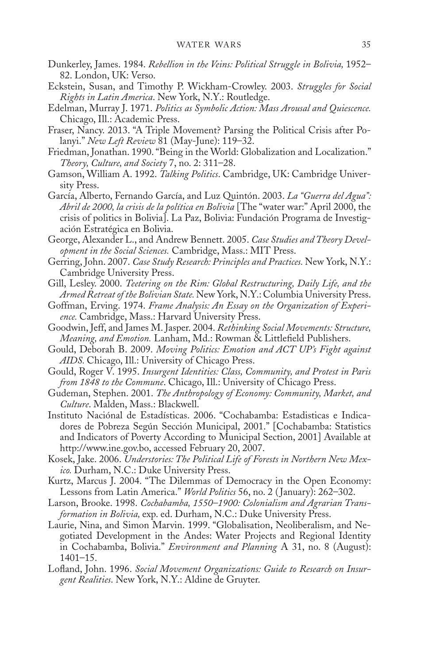- Dunkerley, James. 1984. *Rebellion in the Veins: Political Struggle in Bolivia*, 1952– 82. London, UK: Verso.
- Eckstein, Susan, and Timothy P. Wickham-Crowley. 2003. *Struggles for Social Rights in Latin America*. New York, N.Y.: Routledge.
- Edelman, Murray J. 1971. *Politics as Symbolic Action: Mass Arousal and Quiescence.*  Chicago, Ill.: Academic Press.
- Fraser, Nancy. 2013. "A Triple Movement? Parsing the Political Crisis after Polanyi." *New Left Review* 81 (May-June): 119–32.
- Friedman, Jonathan. 1990. "Being in the World: Globalization and Localization." *Theory, Culture, and Society* 7, no. 2: 311–28.
- Gamson, William A. 1992. *Talking Politics*. Cambridge, UK: Cambridge University Press.
- García, Alberto, Fernando García, and Luz Quintón. 2003. *La "Guerra del Agua": Abril de 2000, la crisis de la política en Bolivia* [The "water war:" April 2000, the crisis of politics in Bolivia]. La Paz, Bolivia: Fundación Programa de Investigación Estratégica en Bolivia.
- George, Alexander L., and Andrew Bennett. 2005. *Case Studies and Theory Development in the Social Sciences.* Cambridge, Mass.: MIT Press.
- Gerring, John. 2007. *Case Study Research: Principles and Practices.* New York, N.Y.: Cambridge University Press.
- Gill, Lesley. 2000. *Teetering on the Rim: Global Restructuring, Daily Life, and the Armed Retreat of the Bolivian State.* New York, N.Y.: Columbia University Press.
- Goffman, Erving. 1974. *Frame Analysis: An Essay on the Organization of Experience.* Cambridge, Mass.: Harvard University Press.
- Goodwin, Jeff, and James M. Jasper. 2004. *Rethinking Social Movements: Structure, Meaning, and Emotion.* Lanham, Md.: Rowman & Littlefield Publishers.
- Gould, Deborah B. 2009. *Moving Politics: Emotion and ACT UP's Fight against AIDS.* Chicago, Ill.: University of Chicago Press.
- Gould, Roger V. 1995. *Insurgent Identities: Class, Community, and Protest in Paris from 1848 to the Commune*. Chicago, Ill.: University of Chicago Press.
- Gudeman, Stephen. 2001. *The Anthropology of Economy: Community, Market, and Culture*. Malden, Mass.: Blackwell.
- Instituto Naciónal de Estadísticas. 2006. "Cochabamba: Estadisticas e Indicadores de Pobreza Según Sección Municipal, 2001." [Cochabamba: Statistics and Indicators of Poverty According to Municipal Section, 2001] Available at http://www.ine.gov.bo, accessed February 20, 2007.
- Kosek, Jake. 2006. *Understories: The Political Life of Forests in Northern New Mexico.* Durham, N.C.: Duke University Press.
- Kurtz, Marcus J. 2004. "The Dilemmas of Democracy in the Open Economy: Lessons from Latin America." *World Politics* 56, no. 2 ( January): 262–302.
- Larson, Brooke. 1998. *Cochabamba, 1550–1900: Colonialism and Agrarian Transformation in Bolivia,* exp. ed. Durham, N.C.: Duke University Press.
- Laurie, Nina, and Simon Marvin. 1999. "Globalisation, Neoliberalism, and Negotiated Development in the Andes: Water Projects and Regional Identity in Cochabamba, Bolivia." *Environment and Planning* A 31, no. 8 (August): 1401–15.
- Lofland, John. 1996. *Social Movement Organizations: Guide to Research on Insurgent Realities*. New York, N.Y.: Aldine de Gruyter.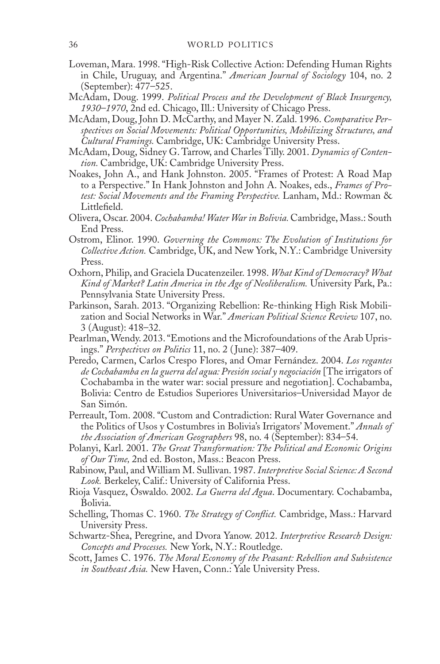- Loveman, Mara. 1998. "High-Risk Collective Action: Defending Human Rights in Chile, Uruguay, and Argentina." *American Journal of Sociology* 104, no. 2 (September): 477–525.
- McAdam, Doug. 1999. *Political Process and the Development of Black Insurgency, 1930–1970*, 2nd ed. Chicago, Ill.: University of Chicago Press.
- McAdam, Doug, John D. McCarthy, and Mayer N. Zald. 1996. *Comparative Perspectives on Social Movements: Political Opportunities, Mobilizing Structures, and Cultural Framings.* Cambridge, UK: Cambridge University Press.
- McAdam, Doug, Sidney G. Tarrow, and Charles Tilly. 2001. *Dynamics of Contention.* Cambridge, UK: Cambridge University Press.
- Noakes, John A., and Hank Johnston. 2005. "Frames of Protest: A Road Map to a Perspective." In Hank Johnston and John A. Noakes, eds., *Frames of Protest: Social Movements and the Framing Perspective.* Lanham, Md.: Rowman & Littlefield.
- Olivera, Oscar. 2004. *Cochabamba! Water War in Bolivia.* Cambridge, Mass.: South End Press.
- Ostrom, Elinor. 1990. *Governing the Commons: The Evolution of Institutions for Collective Action.* Cambridge, UK, and New York, N.Y.: Cambridge University Press.
- Oxhorn, Philip, and Graciela Ducatenzeiler. 1998. *What Kind of Democracy? What Kind of Market? Latin America in the Age of Neoliberalism.* University Park, Pa.: Pennsylvania State University Press.
- Parkinson, Sarah. 2013. "Organizing Rebellion: Re-thinking High Risk Mobilization and Social Networks in War." *American Political Science Review* 107, no. 3 (August): 418–32.
- Pearlman, Wendy. 2013. "Emotions and the Microfoundations of the Arab Uprisings." *Perspectives on Politics* 11, no. 2 ( June): 387–409.
- Peredo, Carmen, Carlos Crespo Flores, and Omar Fernández. 2004. *Los regantes de Cochabamba en la guerra del agua: Presión social y negociación* [The irrigators of Cochabamba in the water war: social pressure and negotiation]. Cochabamba, Bolivia: Centro de Estudios Superiores Universitarios–Universidad Mayor de San Simón.
- Perreault, Tom. 2008. "Custom and Contradiction: Rural Water Governance and the Politics of Usos y Costumbres in Bolivia's Irrigators' Movement." *Annals of the Association of American Geographers* 98, no. 4 (September): 834–54.
- Polanyi, Karl. 2001. *The Great Transformation: The Political and Economic Origins of Our Time,* 2nd ed. Boston, Mass.: Beacon Press.
- Rabinow, Paul, and William M. Sullivan. 1987. *Interpretive Social Science: A Second Look.* Berkeley, Calif.: University of California Press.
- Rioja Vasquez, Oswaldo. 2002. *La Guerra del Agua*. Documentary. Cochabamba, Bolivia.
- Schelling, Thomas C. 1960. *The Strategy of Conflict.* Cambridge, Mass.: Harvard University Press.
- Schwartz-Shea, Peregrine, and Dvora Yanow. 2012. *Interpretive Research Design: Concepts and Processes.* New York, N.Y.: Routledge.
- Scott, James C. 1976. *The Moral Economy of the Peasant: Rebellion and Subsistence in Southeast Asia.* New Haven, Conn.: Yale University Press.